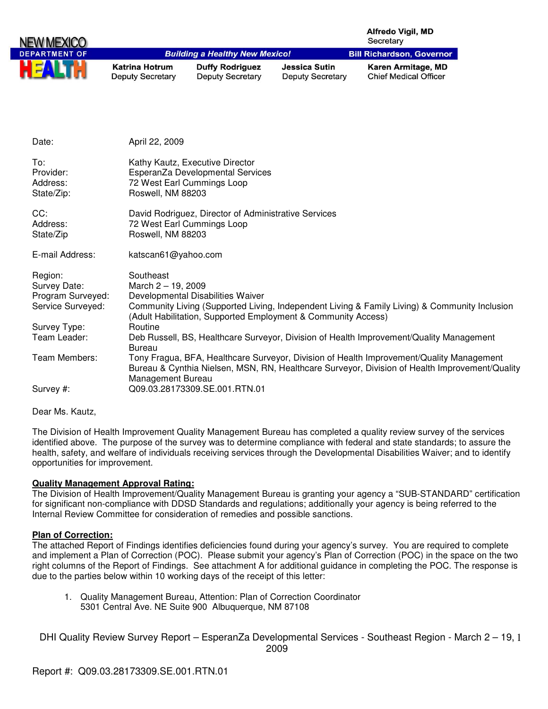| NEW MEXICO           |                                                  |                                                   |                                                 | <b>Alfredo Vigil, MD</b><br>Secretary              |
|----------------------|--------------------------------------------------|---------------------------------------------------|-------------------------------------------------|----------------------------------------------------|
| <b>DEPARTMENT OF</b> |                                                  | <b>Building a Healthy New Mexico!</b>             |                                                 | <b>Bill Richardson, Governor</b>                   |
| HEA                  | <b>Katrina Hotrum</b><br><b>Deputy Secretary</b> | <b>Duffy Rodriguez</b><br><b>Deputy Secretary</b> | <b>Jessica Sutin</b><br><b>Deputy Secretary</b> | Karen Armitage, MD<br><b>Chief Medical Officer</b> |

| Date:                                                             | April 22, 2009                                                                                                                                                                                                                            |
|-------------------------------------------------------------------|-------------------------------------------------------------------------------------------------------------------------------------------------------------------------------------------------------------------------------------------|
| To:<br>Provider:<br>Address:<br>State/Zip:                        | Kathy Kautz, Executive Director<br>EsperanZa Developmental Services<br>72 West Earl Cummings Loop<br>Roswell, NM 88203                                                                                                                    |
| CC:<br>Address:<br>State/Zip                                      | David Rodriguez, Director of Administrative Services<br>72 West Earl Cummings Loop<br>Roswell, NM 88203                                                                                                                                   |
| E-mail Address:                                                   | katscan61@yahoo.com                                                                                                                                                                                                                       |
| Region:<br>Survey Date:<br>Program Surveyed:<br>Service Surveyed: | Southeast<br>March $2 - 19$ , 2009<br>Developmental Disabilities Waiver<br>Community Living (Supported Living, Independent Living & Family Living) & Community Inclusion<br>(Adult Habilitation, Supported Employment & Community Access) |
| Survey Type:<br>Team Leader:                                      | Routine<br>Deb Russell, BS, Healthcare Surveyor, Division of Health Improvement/Quality Management<br>Bureau                                                                                                                              |
| Team Members:                                                     | Tony Fragua, BFA, Healthcare Surveyor, Division of Health Improvement/Quality Management<br>Bureau & Cynthia Nielsen, MSN, RN, Healthcare Surveyor, Division of Health Improvement/Quality<br>Management Bureau                           |
| Survey #:                                                         | Q09.03.28173309.SE.001.RTN.01                                                                                                                                                                                                             |

Dear Ms. Kautz,

The Division of Health Improvement Quality Management Bureau has completed a quality review survey of the services identified above. The purpose of the survey was to determine compliance with federal and state standards; to assure the health, safety, and welfare of individuals receiving services through the Developmental Disabilities Waiver; and to identify opportunities for improvement.

## **Quality Management Approval Rating:**

The Division of Health Improvement/Quality Management Bureau is granting your agency a "SUB-STANDARD" certification for significant non-compliance with DDSD Standards and regulations; additionally your agency is being referred to the Internal Review Committee for consideration of remedies and possible sanctions.

## **Plan of Correction:**

The attached Report of Findings identifies deficiencies found during your agency's survey. You are required to complete and implement a Plan of Correction (POC). Please submit your agency's Plan of Correction (POC) in the space on the two right columns of the Report of Findings. See attachment A for additional guidance in completing the POC. The response is due to the parties below within 10 working days of the receipt of this letter:

1. Quality Management Bureau, Attention: Plan of Correction Coordinator 5301 Central Ave. NE Suite 900 Albuquerque, NM 87108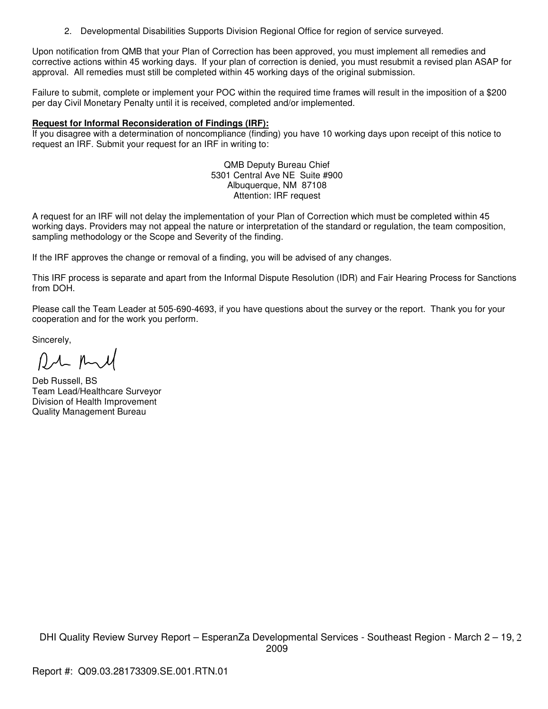2. Developmental Disabilities Supports Division Regional Office for region of service surveyed.

Upon notification from QMB that your Plan of Correction has been approved, you must implement all remedies and corrective actions within 45 working days. If your plan of correction is denied, you must resubmit a revised plan ASAP for approval. All remedies must still be completed within 45 working days of the original submission.

Failure to submit, complete or implement your POC within the required time frames will result in the imposition of a \$200 per day Civil Monetary Penalty until it is received, completed and/or implemented.

## **Request for Informal Reconsideration of Findings (IRF):**

If you disagree with a determination of noncompliance (finding) you have 10 working days upon receipt of this notice to request an IRF. Submit your request for an IRF in writing to:

> QMB Deputy Bureau Chief 5301 Central Ave NE Suite #900 Albuquerque, NM 87108 Attention: IRF request

A request for an IRF will not delay the implementation of your Plan of Correction which must be completed within 45 working days. Providers may not appeal the nature or interpretation of the standard or regulation, the team composition, sampling methodology or the Scope and Severity of the finding.

If the IRF approves the change or removal of a finding, you will be advised of any changes.

This IRF process is separate and apart from the Informal Dispute Resolution (IDR) and Fair Hearing Process for Sanctions from DOH.

Please call the Team Leader at 505-690-4693, if you have questions about the survey or the report. Thank you for your cooperation and for the work you perform.

Sincerely,

RM And

Deb Russell, BS Team Lead/Healthcare Surveyor Division of Health Improvement Quality Management Bureau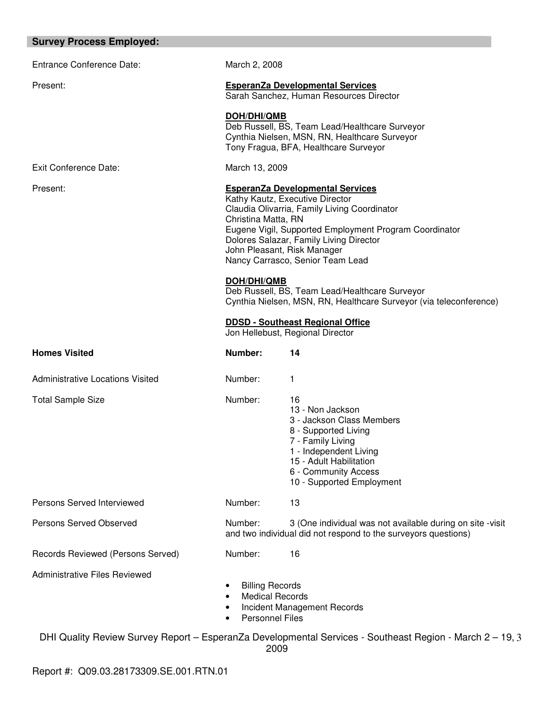#### **Survey Process Employed:**

Entrance Conference Date: March 2, 2008 Present: **EsperanZa Developmental Services** Sarah Sanchez, Human Resources Director **DOH/DHI/QMB** Deb Russell, BS, Team Lead/Healthcare Surveyor Cynthia Nielsen, MSN, RN, Healthcare Surveyor Tony Fragua, BFA, Healthcare Surveyor Exit Conference Date: March 13, 2009 Present: **EsperanZa Developmental Services** Kathy Kautz, Executive Director Claudia Olivarria, Family Living Coordinator Christina Matta, RN Eugene Vigil, Supported Employment Program Coordinator Dolores Salazar, Family Living Director John Pleasant, Risk Manager Nancy Carrasco, Senior Team Lead **DOH/DHI/QMB** Deb Russell, BS, Team Lead/Healthcare Surveyor Cynthia Nielsen, MSN, RN, Healthcare Surveyor (via teleconference) **DDSD - Southeast Regional Office**  Jon Hellebust, Regional Director **Homes Visited Communist Communist Communist Communist Communist Communist Communist Communist Communist Communist Communist Communist Communist Communist Communist Communist Communist Communist Communist Communist Communi** Administrative Locations Visited Number: 1 Total Sample Size **Number:** 16 13 - Non Jackson 3 - Jackson Class Members 8 - Supported Living 7 - Family Living 1 - Independent Living 15 - Adult Habilitation 6 - Community Access 10 - Supported Employment Persons Served Interviewed Number: 13 Persons Served Observed Number: 3 (One individual was not available during on site -visit and two individual did not respond to the surveyors questions) Records Reviewed (Persons Served) Mumber: 16 Administrative Files Reviewed **Billing Records Medical Records** • Incident Management Records Personnel Files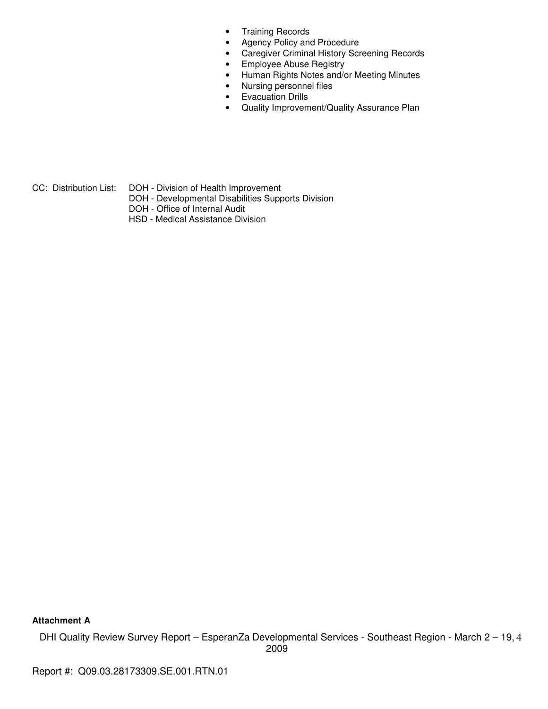- Training Records
- Agency Policy and Procedure
- Caregiver Criminal History Screening Records
- Employee Abuse Registry
- Human Rights Notes and/or Meeting Minutes
- Nursing personnel files
- Evacuation Drills
- Quality Improvement/Quality Assurance Plan

CC: Distribution List: DOH - Division of Health Improvement

- DOH Developmental Disabilities Supports Division
- DOH Office of Internal Audit
- HSD Medical Assistance Division

**Attachment A**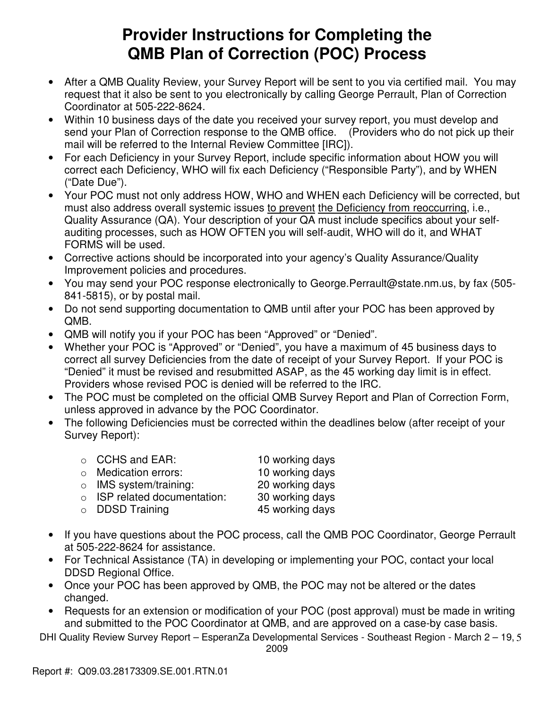# **Provider Instructions for Completing the QMB Plan of Correction (POC) Process**

- After a QMB Quality Review, your Survey Report will be sent to you via certified mail. You may request that it also be sent to you electronically by calling George Perrault, Plan of Correction Coordinator at 505-222-8624.
- Within 10 business days of the date you received your survey report, you must develop and send your Plan of Correction response to the QMB office. (Providers who do not pick up their mail will be referred to the Internal Review Committee [IRC]).
- For each Deficiency in your Survey Report, include specific information about HOW you will correct each Deficiency, WHO will fix each Deficiency ("Responsible Party"), and by WHEN ("Date Due").
- Your POC must not only address HOW, WHO and WHEN each Deficiency will be corrected, but must also address overall systemic issues to prevent the Deficiency from reoccurring, i.e., Quality Assurance (QA). Your description of your QA must include specifics about your selfauditing processes, such as HOW OFTEN you will self-audit, WHO will do it, and WHAT FORMS will be used.
- Corrective actions should be incorporated into your agency's Quality Assurance/Quality Improvement policies and procedures.
- You may send your POC response electronically to George.Perrault@state.nm.us, by fax (505- 841-5815), or by postal mail.
- Do not send supporting documentation to QMB until after your POC has been approved by QMB.
- QMB will notify you if your POC has been "Approved" or "Denied".
- Whether your POC is "Approved" or "Denied", you have a maximum of 45 business days to correct all survey Deficiencies from the date of receipt of your Survey Report. If your POC is "Denied" it must be revised and resubmitted ASAP, as the 45 working day limit is in effect. Providers whose revised POC is denied will be referred to the IRC.
- The POC must be completed on the official QMB Survey Report and Plan of Correction Form, unless approved in advance by the POC Coordinator.
- The following Deficiencies must be corrected within the deadlines below (after receipt of your Survey Report):

| $\circ$ CCHS and EAR:              | 10 working days |
|------------------------------------|-----------------|
| ○ Medication errors:               | 10 working days |
| $\circ$ IMS system/training:       | 20 working days |
| $\circ$ ISP related documentation: | 30 working days |
| $\circ$ DDSD Training              | 45 working days |

- If you have questions about the POC process, call the QMB POC Coordinator, George Perrault at 505-222-8624 for assistance.
- For Technical Assistance (TA) in developing or implementing your POC, contact your local DDSD Regional Office.
- Once your POC has been approved by QMB, the POC may not be altered or the dates changed.
- Requests for an extension or modification of your POC (post approval) must be made in writing and submitted to the POC Coordinator at QMB, and are approved on a case-by case basis.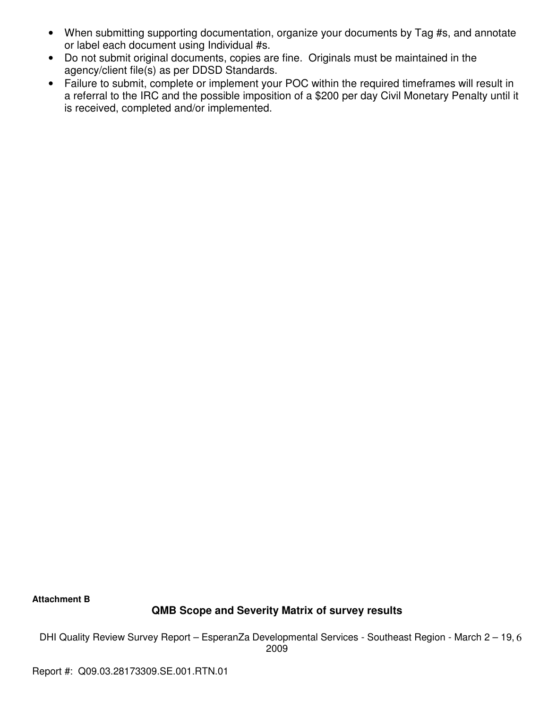- When submitting supporting documentation, organize your documents by Tag #s, and annotate or label each document using Individual #s.
- Do not submit original documents, copies are fine. Originals must be maintained in the agency/client file(s) as per DDSD Standards.
- Failure to submit, complete or implement your POC within the required timeframes will result in a referral to the IRC and the possible imposition of a \$200 per day Civil Monetary Penalty until it is received, completed and/or implemented.

**Attachment B** 

# **QMB Scope and Severity Matrix of survey results**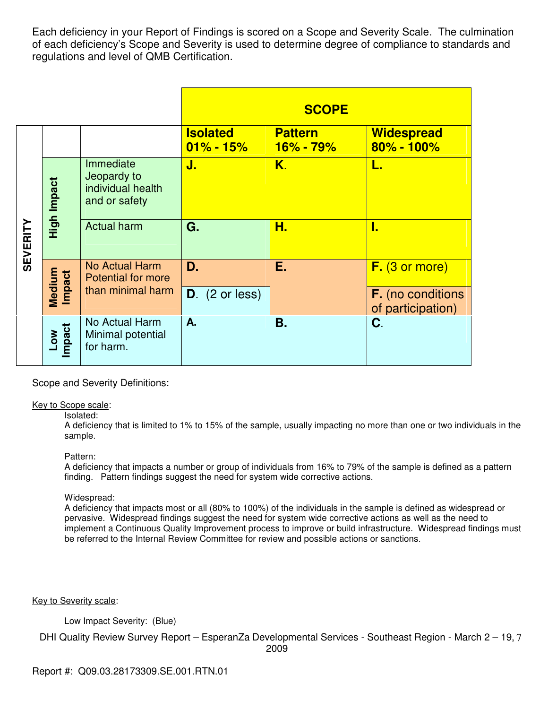Each deficiency in your Report of Findings is scored on a Scope and Severity Scale. The culmination of each deficiency's Scope and Severity is used to determine degree of compliance to standards and regulations and level of QMB Certification.

|                 |                  |                                                                |                                  | <b>SCOPE</b>                    |                                        |
|-----------------|------------------|----------------------------------------------------------------|----------------------------------|---------------------------------|----------------------------------------|
|                 |                  |                                                                | <b>Isolated</b><br>$01\% - 15\%$ | <b>Pattern</b><br>$16\% - 79\%$ | Widespread<br>$80\% - 100\%$           |
| <b>SEVERITY</b> | High Impact      | Immediate<br>Jeopardy to<br>individual health<br>and or safety | J.                               | K.                              |                                        |
|                 |                  | <b>Actual harm</b>                                             | G.                               | Н.                              | I.                                     |
|                 |                  | <b>No Actual Harm</b><br><b>Potential for more</b>             | D.                               | Е.                              | F. (3 or more)                         |
|                 | Medium<br>Impact | than minimal harm                                              | $D.$ (2 or less)                 |                                 | F. (no conditions<br>of participation) |
|                 | Low<br>Impact    | No Actual Harm<br>Minimal potential<br>for harm.               | A.                               | Β.                              | C.                                     |

Scope and Severity Definitions:

#### Key to Scope scale:

#### Isolated:

A deficiency that is limited to 1% to 15% of the sample, usually impacting no more than one or two individuals in the sample.

#### Pattern:

A deficiency that impacts a number or group of individuals from 16% to 79% of the sample is defined as a pattern finding. Pattern findings suggest the need for system wide corrective actions.

#### Widespread:

A deficiency that impacts most or all (80% to 100%) of the individuals in the sample is defined as widespread or pervasive. Widespread findings suggest the need for system wide corrective actions as well as the need to implement a Continuous Quality Improvement process to improve or build infrastructure. Widespread findings must be referred to the Internal Review Committee for review and possible actions or sanctions.

Key to Severity scale:

Low Impact Severity: (Blue)

DHI Quality Review Survey Report - EsperanZa Developmental Services - Southeast Region - March 2 - 19, 7

2009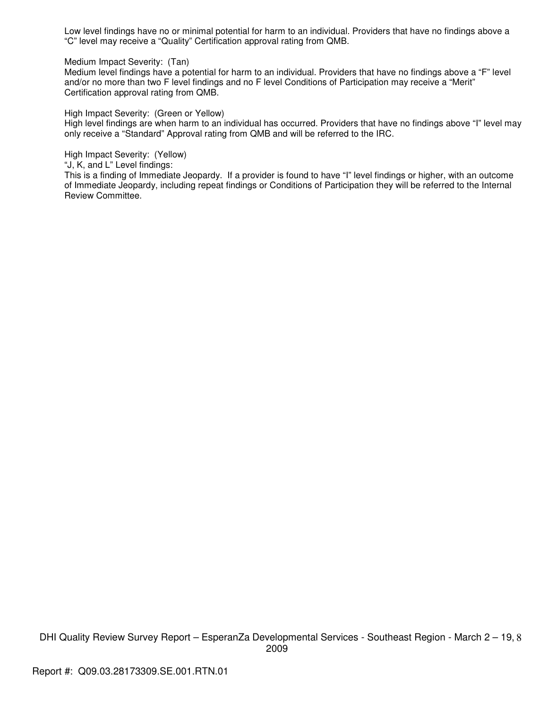Low level findings have no or minimal potential for harm to an individual. Providers that have no findings above a "C" level may receive a "Quality" Certification approval rating from QMB.

Medium Impact Severity: (Tan)

Medium level findings have a potential for harm to an individual. Providers that have no findings above a "F" level and/or no more than two F level findings and no F level Conditions of Participation may receive a "Merit" Certification approval rating from QMB.

High Impact Severity: (Green or Yellow)

High level findings are when harm to an individual has occurred. Providers that have no findings above "I" level may only receive a "Standard" Approval rating from QMB and will be referred to the IRC.

High Impact Severity: (Yellow)

"J, K, and L" Level findings:

This is a finding of Immediate Jeopardy. If a provider is found to have "I" level findings or higher, with an outcome of Immediate Jeopardy, including repeat findings or Conditions of Participation they will be referred to the Internal Review Committee.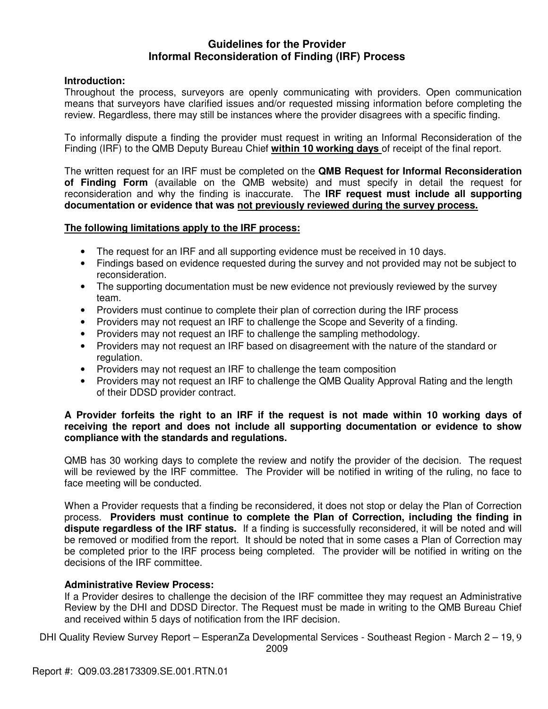# **Guidelines for the Provider Informal Reconsideration of Finding (IRF) Process**

# **Introduction:**

Throughout the process, surveyors are openly communicating with providers. Open communication means that surveyors have clarified issues and/or requested missing information before completing the review. Regardless, there may still be instances where the provider disagrees with a specific finding.

To informally dispute a finding the provider must request in writing an Informal Reconsideration of the Finding (IRF) to the QMB Deputy Bureau Chief **within 10 working days** of receipt of the final report.

The written request for an IRF must be completed on the **QMB Request for Informal Reconsideration of Finding Form** (available on the QMB website) and must specify in detail the request for reconsideration and why the finding is inaccurate. The **IRF request must include all supporting documentation or evidence that was not previously reviewed during the survey process.** 

## **The following limitations apply to the IRF process:**

- The request for an IRF and all supporting evidence must be received in 10 days.
- Findings based on evidence requested during the survey and not provided may not be subject to reconsideration.
- The supporting documentation must be new evidence not previously reviewed by the survey team.
- Providers must continue to complete their plan of correction during the IRF process
- Providers may not request an IRF to challenge the Scope and Severity of a finding.
- Providers may not request an IRF to challenge the sampling methodology.
- Providers may not request an IRF based on disagreement with the nature of the standard or regulation.
- Providers may not request an IRF to challenge the team composition
- Providers may not request an IRF to challenge the QMB Quality Approval Rating and the length of their DDSD provider contract.

## **A Provider forfeits the right to an IRF if the request is not made within 10 working days of receiving the report and does not include all supporting documentation or evidence to show compliance with the standards and regulations.**

QMB has 30 working days to complete the review and notify the provider of the decision. The request will be reviewed by the IRF committee. The Provider will be notified in writing of the ruling, no face to face meeting will be conducted.

When a Provider requests that a finding be reconsidered, it does not stop or delay the Plan of Correction process. **Providers must continue to complete the Plan of Correction, including the finding in dispute regardless of the IRF status.** If a finding is successfully reconsidered, it will be noted and will be removed or modified from the report. It should be noted that in some cases a Plan of Correction may be completed prior to the IRF process being completed. The provider will be notified in writing on the decisions of the IRF committee.

## **Administrative Review Process:**

If a Provider desires to challenge the decision of the IRF committee they may request an Administrative Review by the DHI and DDSD Director. The Request must be made in writing to the QMB Bureau Chief and received within 5 days of notification from the IRF decision.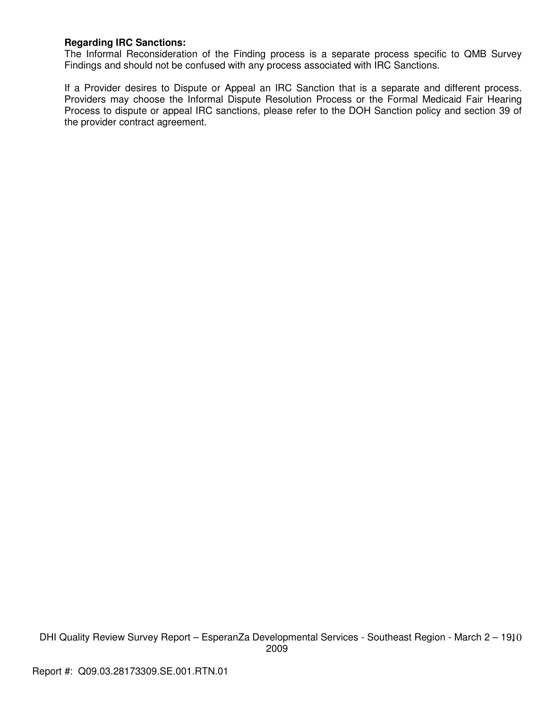# **Regarding IRC Sanctions:**

The Informal Reconsideration of the Finding process is a separate process specific to QMB Survey Findings and should not be confused with any process associated with IRC Sanctions.

If a Provider desires to Dispute or Appeal an IRC Sanction that is a separate and different process. Providers may choose the Informal Dispute Resolution Process or the Formal Medicaid Fair Hearing Process to dispute or appeal IRC sanctions, please refer to the DOH Sanction policy and section 39 of the provider contract agreement.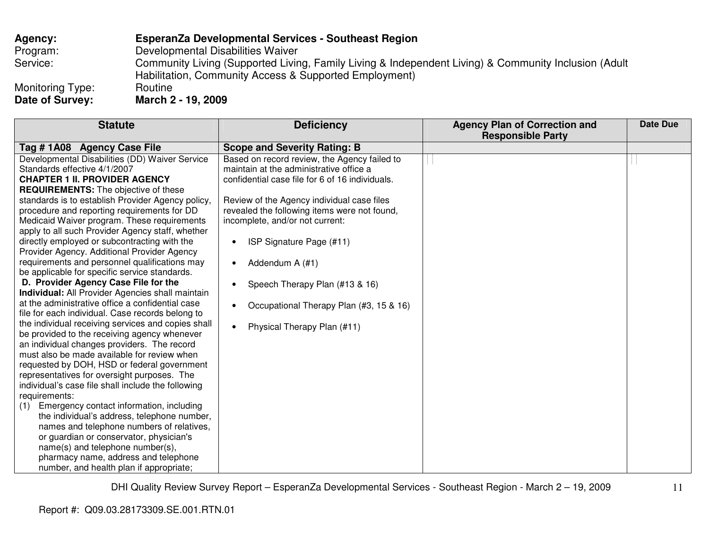# **Agency: EsperanZa Developmental Services - Southeast Region** Program: Developmental Disabilities Waiver Service: Community Living (Supported Living, Family Living & Independent Living) & Community Inclusion (Adult Habilitation, Community Access & Supported Employment) Monitoring Type: Routine<br>
Date of Survey: March 2 **Date of Survey: March 2 - 19, 2009**

| <b>Deficiency</b>                            | <b>Agency Plan of Correction and</b><br><b>Responsible Party</b>                                                                                                                                                                                                                                                                                        | <b>Date Due</b> |
|----------------------------------------------|---------------------------------------------------------------------------------------------------------------------------------------------------------------------------------------------------------------------------------------------------------------------------------------------------------------------------------------------------------|-----------------|
| <b>Scope and Severity Rating: B</b>          |                                                                                                                                                                                                                                                                                                                                                         |                 |
| Based on record review, the Agency failed to |                                                                                                                                                                                                                                                                                                                                                         |                 |
|                                              |                                                                                                                                                                                                                                                                                                                                                         |                 |
|                                              |                                                                                                                                                                                                                                                                                                                                                         |                 |
|                                              |                                                                                                                                                                                                                                                                                                                                                         |                 |
|                                              |                                                                                                                                                                                                                                                                                                                                                         |                 |
|                                              |                                                                                                                                                                                                                                                                                                                                                         |                 |
|                                              |                                                                                                                                                                                                                                                                                                                                                         |                 |
|                                              |                                                                                                                                                                                                                                                                                                                                                         |                 |
|                                              |                                                                                                                                                                                                                                                                                                                                                         |                 |
|                                              |                                                                                                                                                                                                                                                                                                                                                         |                 |
|                                              |                                                                                                                                                                                                                                                                                                                                                         |                 |
|                                              |                                                                                                                                                                                                                                                                                                                                                         |                 |
|                                              |                                                                                                                                                                                                                                                                                                                                                         |                 |
|                                              |                                                                                                                                                                                                                                                                                                                                                         |                 |
|                                              |                                                                                                                                                                                                                                                                                                                                                         |                 |
|                                              |                                                                                                                                                                                                                                                                                                                                                         |                 |
| Physical Therapy Plan (#11)                  |                                                                                                                                                                                                                                                                                                                                                         |                 |
|                                              |                                                                                                                                                                                                                                                                                                                                                         |                 |
|                                              |                                                                                                                                                                                                                                                                                                                                                         |                 |
|                                              |                                                                                                                                                                                                                                                                                                                                                         |                 |
|                                              |                                                                                                                                                                                                                                                                                                                                                         |                 |
|                                              |                                                                                                                                                                                                                                                                                                                                                         |                 |
|                                              |                                                                                                                                                                                                                                                                                                                                                         |                 |
|                                              |                                                                                                                                                                                                                                                                                                                                                         |                 |
|                                              |                                                                                                                                                                                                                                                                                                                                                         |                 |
|                                              |                                                                                                                                                                                                                                                                                                                                                         |                 |
|                                              |                                                                                                                                                                                                                                                                                                                                                         |                 |
|                                              |                                                                                                                                                                                                                                                                                                                                                         |                 |
|                                              |                                                                                                                                                                                                                                                                                                                                                         |                 |
|                                              |                                                                                                                                                                                                                                                                                                                                                         |                 |
|                                              | maintain at the administrative office a<br>confidential case file for 6 of 16 individuals.<br>Review of the Agency individual case files<br>revealed the following items were not found,<br>incomplete, and/or not current:<br>ISP Signature Page (#11)<br>Addendum A (#1)<br>Speech Therapy Plan (#13 & 16)<br>Occupational Therapy Plan (#3, 15 & 16) |                 |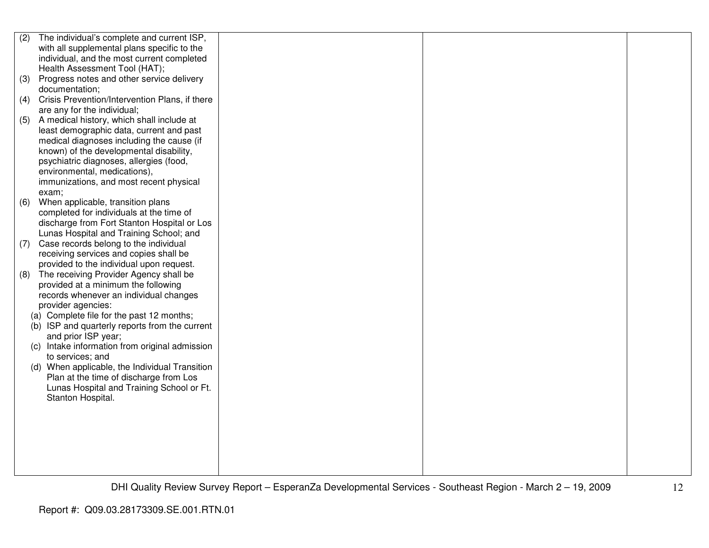| (2) | The individual's complete and current ISP,     |  |  |
|-----|------------------------------------------------|--|--|
|     | with all supplemental plans specific to the    |  |  |
|     | individual, and the most current completed     |  |  |
|     | Health Assessment Tool (HAT);                  |  |  |
| (3) | Progress notes and other service delivery      |  |  |
|     | documentation;                                 |  |  |
| (4) | Crisis Prevention/Intervention Plans, if there |  |  |
|     | are any for the individual;                    |  |  |
| (5) | A medical history, which shall include at      |  |  |
|     | least demographic data, current and past       |  |  |
|     | medical diagnoses including the cause (if      |  |  |
|     | known) of the developmental disability,        |  |  |
|     | psychiatric diagnoses, allergies (food,        |  |  |
|     | environmental, medications),                   |  |  |
|     | immunizations, and most recent physical        |  |  |
|     | exam;                                          |  |  |
| (6) | When applicable, transition plans              |  |  |
|     | completed for individuals at the time of       |  |  |
|     | discharge from Fort Stanton Hospital or Los    |  |  |
|     | Lunas Hospital and Training School; and        |  |  |
| (7) | Case records belong to the individual          |  |  |
|     | receiving services and copies shall be         |  |  |
|     | provided to the individual upon request.       |  |  |
| (8) | The receiving Provider Agency shall be         |  |  |
|     | provided at a minimum the following            |  |  |
|     | records whenever an individual changes         |  |  |
|     | provider agencies:                             |  |  |
|     | (a) Complete file for the past 12 months;      |  |  |
|     | (b) ISP and quarterly reports from the current |  |  |
|     | and prior ISP year;                            |  |  |
|     | (c) Intake information from original admission |  |  |
|     | to services; and                               |  |  |
|     | (d) When applicable, the Individual Transition |  |  |
|     | Plan at the time of discharge from Los         |  |  |
|     | Lunas Hospital and Training School or Ft.      |  |  |
|     | Stanton Hospital.                              |  |  |
|     |                                                |  |  |
|     |                                                |  |  |
|     |                                                |  |  |
|     |                                                |  |  |
|     |                                                |  |  |
|     |                                                |  |  |
|     |                                                |  |  |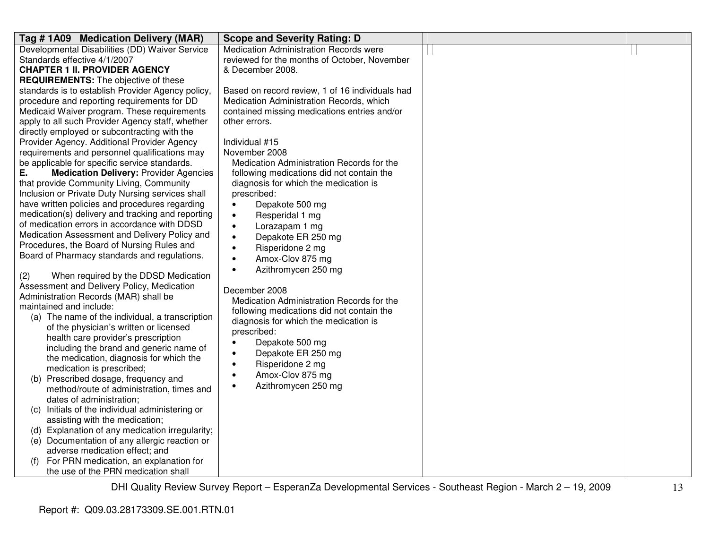| Tag #1A09 Medication Delivery (MAR)                 | <b>Scope and Severity Rating: D</b>             |  |
|-----------------------------------------------------|-------------------------------------------------|--|
| Developmental Disabilities (DD) Waiver Service      | Medication Administration Records were          |  |
| Standards effective 4/1/2007                        | reviewed for the months of October, November    |  |
| <b>CHAPTER 1 II. PROVIDER AGENCY</b>                | & December 2008.                                |  |
| <b>REQUIREMENTS:</b> The objective of these         |                                                 |  |
| standards is to establish Provider Agency policy,   | Based on record review, 1 of 16 individuals had |  |
| procedure and reporting requirements for DD         | Medication Administration Records, which        |  |
| Medicaid Waiver program. These requirements         | contained missing medications entries and/or    |  |
| apply to all such Provider Agency staff, whether    | other errors.                                   |  |
| directly employed or subcontracting with the        |                                                 |  |
| Provider Agency. Additional Provider Agency         | Individual #15                                  |  |
| requirements and personnel qualifications may       | November 2008                                   |  |
| be applicable for specific service standards.       | Medication Administration Records for the       |  |
| Ε.<br><b>Medication Delivery: Provider Agencies</b> | following medications did not contain the       |  |
| that provide Community Living, Community            | diagnosis for which the medication is           |  |
| Inclusion or Private Duty Nursing services shall    | prescribed:                                     |  |
| have written policies and procedures regarding      | Depakote 500 mg<br>$\bullet$                    |  |
| medication(s) delivery and tracking and reporting   | Resperidal 1 mg<br>$\bullet$                    |  |
| of medication errors in accordance with DDSD        | Lorazapam 1 mg<br>$\bullet$                     |  |
| Medication Assessment and Delivery Policy and       | Depakote ER 250 mg<br>$\bullet$                 |  |
| Procedures, the Board of Nursing Rules and          | Risperidone 2 mg<br>$\bullet$                   |  |
| Board of Pharmacy standards and regulations.        | Amox-Clov 875 mg<br>$\bullet$                   |  |
|                                                     | Azithromycen 250 mg<br>$\bullet$                |  |
| When required by the DDSD Medication<br>(2)         |                                                 |  |
| Assessment and Delivery Policy, Medication          | December 2008                                   |  |
| Administration Records (MAR) shall be               | Medication Administration Records for the       |  |
| maintained and include:                             | following medications did not contain the       |  |
| (a) The name of the individual, a transcription     | diagnosis for which the medication is           |  |
| of the physician's written or licensed              | prescribed:                                     |  |
| health care provider's prescription                 | Depakote 500 mg                                 |  |
| including the brand and generic name of             | Depakote ER 250 mg                              |  |
| the medication, diagnosis for which the             | Risperidone 2 mg<br>$\bullet$                   |  |
| medication is prescribed;                           | Amox-Clov 875 mg<br>$\bullet$                   |  |
| (b) Prescribed dosage, frequency and                | Azithromycen 250 mg<br>$\bullet$                |  |
| method/route of administration, times and           |                                                 |  |
| dates of administration;                            |                                                 |  |
| Initials of the individual administering or<br>(C)  |                                                 |  |
| assisting with the medication;                      |                                                 |  |
| (d) Explanation of any medication irregularity;     |                                                 |  |
| (e) Documentation of any allergic reaction or       |                                                 |  |
| adverse medication effect; and                      |                                                 |  |
| For PRN medication, an explanation for              |                                                 |  |
| the use of the PRN medication shall                 |                                                 |  |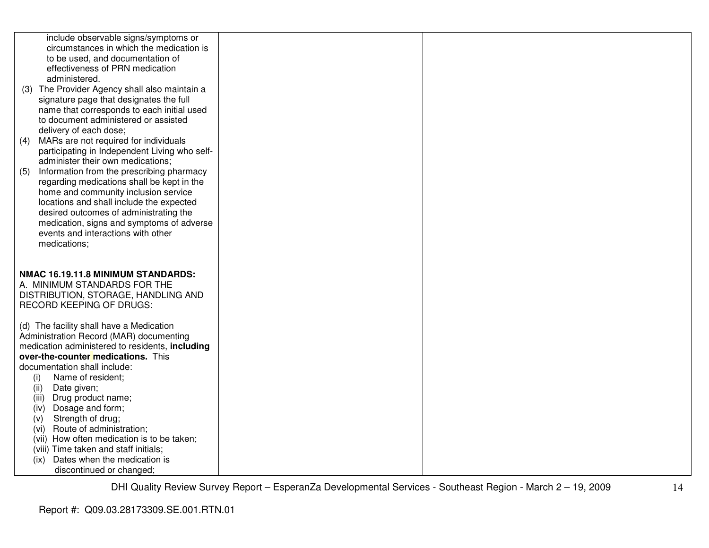| include observable signs/symptoms or<br>circumstances in which the medication is<br>to be used, and documentation of<br>effectiveness of PRN medication<br>administered.<br>(3) The Provider Agency shall also maintain a<br>signature page that designates the full<br>name that corresponds to each initial used<br>to document administered or assisted<br>delivery of each dose;<br>(4) MARs are not required for individuals<br>participating in Independent Living who self-<br>administer their own medications;<br>Information from the prescribing pharmacy<br>(5)<br>regarding medications shall be kept in the<br>home and community inclusion service<br>locations and shall include the expected<br>desired outcomes of administrating the<br>medication, signs and symptoms of adverse<br>events and interactions with other<br>medications; |  |  |
|------------------------------------------------------------------------------------------------------------------------------------------------------------------------------------------------------------------------------------------------------------------------------------------------------------------------------------------------------------------------------------------------------------------------------------------------------------------------------------------------------------------------------------------------------------------------------------------------------------------------------------------------------------------------------------------------------------------------------------------------------------------------------------------------------------------------------------------------------------|--|--|
| NMAC 16.19.11.8 MINIMUM STANDARDS:<br>A. MINIMUM STANDARDS FOR THE<br>DISTRIBUTION, STORAGE, HANDLING AND<br><b>RECORD KEEPING OF DRUGS:</b>                                                                                                                                                                                                                                                                                                                                                                                                                                                                                                                                                                                                                                                                                                               |  |  |
| (d) The facility shall have a Medication<br>Administration Record (MAR) documenting<br>medication administered to residents, including<br>over-the-counter medications. This<br>documentation shall include:<br>Name of resident;<br>(i)<br>Date given;<br>(ii)<br>Drug product name;<br>(iii)<br>Dosage and form;<br>(iv)<br>Strength of drug;<br>(v)<br>Route of administration;<br>(vi)<br>(vii) How often medication is to be taken;<br>(viii) Time taken and staff initials;<br>Dates when the medication is<br>(ix)<br>discontinued or changed;                                                                                                                                                                                                                                                                                                      |  |  |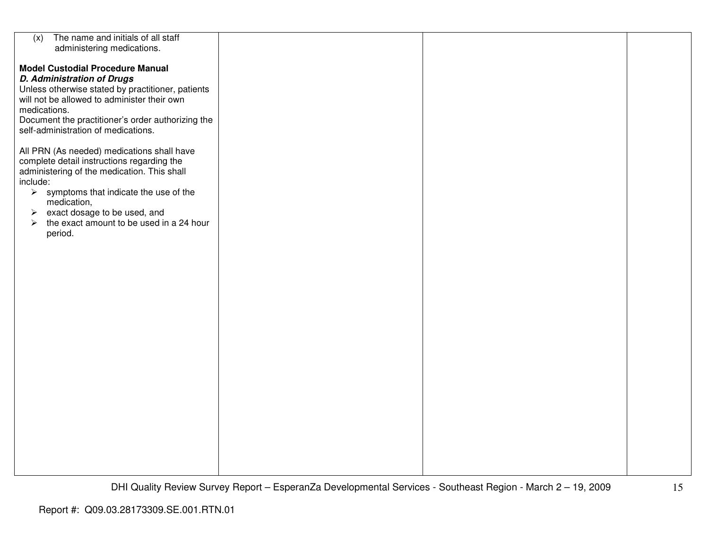| The name and initials of all staff<br>(x)                         |  |  |
|-------------------------------------------------------------------|--|--|
| administering medications.                                        |  |  |
|                                                                   |  |  |
|                                                                   |  |  |
| <b>Model Custodial Procedure Manual</b>                           |  |  |
| <b>D. Administration of Drugs</b>                                 |  |  |
|                                                                   |  |  |
| Unless otherwise stated by practitioner, patients                 |  |  |
| will not be allowed to administer their own                       |  |  |
|                                                                   |  |  |
| medications.                                                      |  |  |
| Document the practitioner's order authorizing the                 |  |  |
| self-administration of medications.                               |  |  |
|                                                                   |  |  |
|                                                                   |  |  |
| All PRN (As needed) medications shall have                        |  |  |
| complete detail instructions regarding the                        |  |  |
|                                                                   |  |  |
| administering of the medication. This shall                       |  |  |
| include:                                                          |  |  |
| $\triangleright$ symptoms that indicate the use of the            |  |  |
|                                                                   |  |  |
| medication,                                                       |  |  |
| $\triangleright$ exact dosage to be used, and                     |  |  |
| the exact amount to be used in a 24 hour<br>$\blacktriangleright$ |  |  |
|                                                                   |  |  |
| period.                                                           |  |  |
|                                                                   |  |  |
|                                                                   |  |  |
|                                                                   |  |  |
|                                                                   |  |  |
|                                                                   |  |  |
|                                                                   |  |  |
|                                                                   |  |  |
|                                                                   |  |  |
|                                                                   |  |  |
|                                                                   |  |  |
|                                                                   |  |  |
|                                                                   |  |  |
|                                                                   |  |  |
|                                                                   |  |  |
|                                                                   |  |  |
|                                                                   |  |  |
|                                                                   |  |  |
|                                                                   |  |  |
|                                                                   |  |  |
|                                                                   |  |  |
|                                                                   |  |  |
|                                                                   |  |  |
|                                                                   |  |  |
|                                                                   |  |  |
|                                                                   |  |  |
|                                                                   |  |  |
|                                                                   |  |  |
|                                                                   |  |  |
|                                                                   |  |  |
|                                                                   |  |  |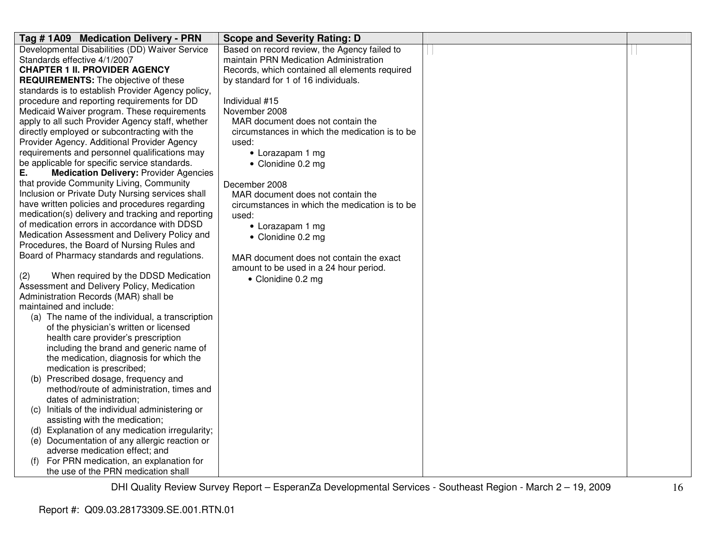| Tag #1A09 Medication Delivery - PRN                 | <b>Scope and Severity Rating: D</b>            |  |
|-----------------------------------------------------|------------------------------------------------|--|
| Developmental Disabilities (DD) Waiver Service      | Based on record review, the Agency failed to   |  |
| Standards effective 4/1/2007                        | maintain PRN Medication Administration         |  |
| <b>CHAPTER 1 II. PROVIDER AGENCY</b>                | Records, which contained all elements required |  |
| <b>REQUIREMENTS:</b> The objective of these         | by standard for 1 of 16 individuals.           |  |
| standards is to establish Provider Agency policy,   |                                                |  |
| procedure and reporting requirements for DD         | Individual #15                                 |  |
| Medicaid Waiver program. These requirements         | November 2008                                  |  |
| apply to all such Provider Agency staff, whether    | MAR document does not contain the              |  |
| directly employed or subcontracting with the        | circumstances in which the medication is to be |  |
| Provider Agency. Additional Provider Agency         | used:                                          |  |
| requirements and personnel qualifications may       | • Lorazapam 1 mg                               |  |
| be applicable for specific service standards.       | • Clonidine 0.2 mg                             |  |
| <b>Medication Delivery: Provider Agencies</b><br>Е. |                                                |  |
| that provide Community Living, Community            | December 2008                                  |  |
| Inclusion or Private Duty Nursing services shall    | MAR document does not contain the              |  |
| have written policies and procedures regarding      | circumstances in which the medication is to be |  |
| medication(s) delivery and tracking and reporting   | used:                                          |  |
| of medication errors in accordance with DDSD        | • Lorazapam 1 mg                               |  |
| Medication Assessment and Delivery Policy and       | • Clonidine 0.2 mg                             |  |
| Procedures, the Board of Nursing Rules and          |                                                |  |
| Board of Pharmacy standards and regulations.        | MAR document does not contain the exact        |  |
|                                                     | amount to be used in a 24 hour period.         |  |
| When required by the DDSD Medication<br>(2)         | • Clonidine 0.2 mg                             |  |
| Assessment and Delivery Policy, Medication          |                                                |  |
| Administration Records (MAR) shall be               |                                                |  |
| maintained and include:                             |                                                |  |
| (a) The name of the individual, a transcription     |                                                |  |
| of the physician's written or licensed              |                                                |  |
| health care provider's prescription                 |                                                |  |
| including the brand and generic name of             |                                                |  |
| the medication, diagnosis for which the             |                                                |  |
| medication is prescribed;                           |                                                |  |
| (b) Prescribed dosage, frequency and                |                                                |  |
| method/route of administration, times and           |                                                |  |
| dates of administration;                            |                                                |  |
| (c) Initials of the individual administering or     |                                                |  |
| assisting with the medication;                      |                                                |  |
| (d) Explanation of any medication irregularity;     |                                                |  |
| (e) Documentation of any allergic reaction or       |                                                |  |
| adverse medication effect; and                      |                                                |  |
| For PRN medication, an explanation for<br>(f)       |                                                |  |
| the use of the PRN medication shall                 |                                                |  |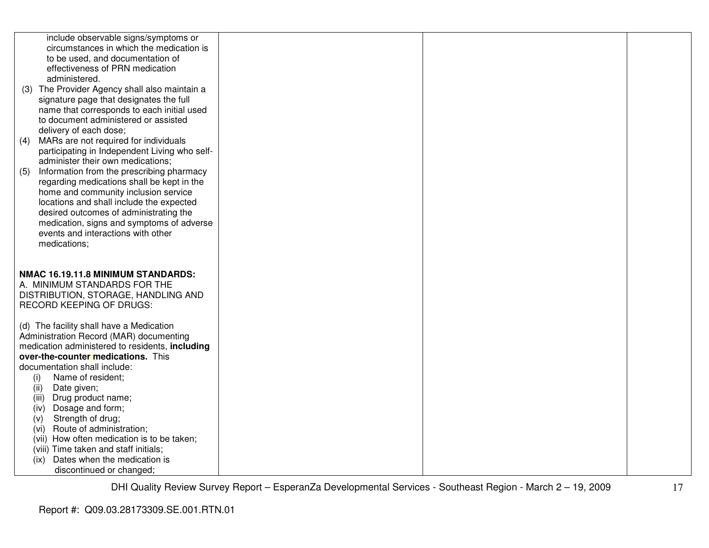| include observable signs/symptoms or<br>circumstances in which the medication is<br>to be used, and documentation of<br>effectiveness of PRN medication<br>administered.<br>(3) The Provider Agency shall also maintain a<br>signature page that designates the full<br>name that corresponds to each initial used<br>to document administered or assisted<br>delivery of each dose;<br>(4) MARs are not required for individuals<br>participating in Independent Living who self-<br>administer their own medications;<br>Information from the prescribing pharmacy<br>(5)<br>regarding medications shall be kept in the<br>home and community inclusion service<br>locations and shall include the expected<br>desired outcomes of administrating the<br>medication, signs and symptoms of adverse<br>events and interactions with other<br>medications; |  |  |
|------------------------------------------------------------------------------------------------------------------------------------------------------------------------------------------------------------------------------------------------------------------------------------------------------------------------------------------------------------------------------------------------------------------------------------------------------------------------------------------------------------------------------------------------------------------------------------------------------------------------------------------------------------------------------------------------------------------------------------------------------------------------------------------------------------------------------------------------------------|--|--|
| NMAC 16.19.11.8 MINIMUM STANDARDS:<br>A. MINIMUM STANDARDS FOR THE<br>DISTRIBUTION, STORAGE, HANDLING AND<br>RECORD KEEPING OF DRUGS:<br>(d) The facility shall have a Medication<br>Administration Record (MAR) documenting<br>medication administered to residents, including<br>over-the-counter medications. This<br>documentation shall include:                                                                                                                                                                                                                                                                                                                                                                                                                                                                                                      |  |  |
| Name of resident;<br>(i)<br>(ii)<br>Date given;<br>Drug product name;<br>(iii)<br>Dosage and form;<br>(iv)<br>Strength of drug;<br>(v)<br>Route of administration;<br>(vi)<br>(vii) How often medication is to be taken;<br>(viii) Time taken and staff initials;<br>Dates when the medication is<br>(ix)<br>discontinued or changed;                                                                                                                                                                                                                                                                                                                                                                                                                                                                                                                      |  |  |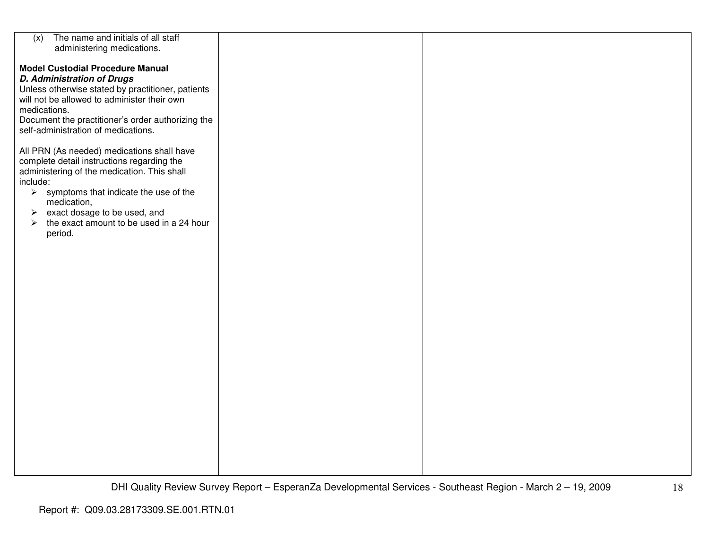| The name and initials of all staff<br>(x)                         |  |  |
|-------------------------------------------------------------------|--|--|
| administering medications.                                        |  |  |
|                                                                   |  |  |
|                                                                   |  |  |
| <b>Model Custodial Procedure Manual</b>                           |  |  |
|                                                                   |  |  |
| <b>D. Administration of Drugs</b>                                 |  |  |
| Unless otherwise stated by practitioner, patients                 |  |  |
| will not be allowed to administer their own                       |  |  |
|                                                                   |  |  |
| medications.                                                      |  |  |
| Document the practitioner's order authorizing the                 |  |  |
| self-administration of medications.                               |  |  |
|                                                                   |  |  |
|                                                                   |  |  |
| All PRN (As needed) medications shall have                        |  |  |
|                                                                   |  |  |
| complete detail instructions regarding the                        |  |  |
| administering of the medication. This shall                       |  |  |
| include:                                                          |  |  |
|                                                                   |  |  |
| $\triangleright$ symptoms that indicate the use of the            |  |  |
| medication,                                                       |  |  |
| $\triangleright$ exact dosage to be used, and                     |  |  |
|                                                                   |  |  |
| the exact amount to be used in a 24 hour<br>$\blacktriangleright$ |  |  |
| period.                                                           |  |  |
|                                                                   |  |  |
|                                                                   |  |  |
|                                                                   |  |  |
|                                                                   |  |  |
|                                                                   |  |  |
|                                                                   |  |  |
|                                                                   |  |  |
|                                                                   |  |  |
|                                                                   |  |  |
|                                                                   |  |  |
|                                                                   |  |  |
|                                                                   |  |  |
|                                                                   |  |  |
|                                                                   |  |  |
|                                                                   |  |  |
|                                                                   |  |  |
|                                                                   |  |  |
|                                                                   |  |  |
|                                                                   |  |  |
|                                                                   |  |  |
|                                                                   |  |  |
|                                                                   |  |  |
|                                                                   |  |  |
|                                                                   |  |  |
|                                                                   |  |  |
|                                                                   |  |  |
|                                                                   |  |  |
|                                                                   |  |  |
|                                                                   |  |  |
|                                                                   |  |  |
|                                                                   |  |  |
|                                                                   |  |  |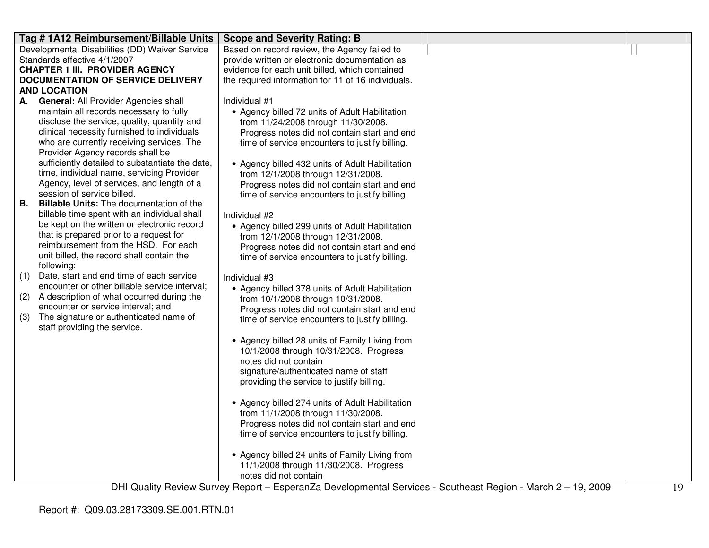|     | Tag #1A12 Reimbursement/Billable Units                                   | <b>Scope and Severity Rating: B</b>                |  |
|-----|--------------------------------------------------------------------------|----------------------------------------------------|--|
|     | Developmental Disabilities (DD) Waiver Service                           | Based on record review, the Agency failed to       |  |
|     | Standards effective 4/1/2007                                             | provide written or electronic documentation as     |  |
|     | <b>CHAPTER 1 III. PROVIDER AGENCY</b>                                    | evidence for each unit billed, which contained     |  |
|     | <b>DOCUMENTATION OF SERVICE DELIVERY</b>                                 | the required information for 11 of 16 individuals. |  |
|     | <b>AND LOCATION</b>                                                      |                                                    |  |
| А.  | <b>General: All Provider Agencies shall</b>                              | Individual #1                                      |  |
|     | maintain all records necessary to fully                                  | • Agency billed 72 units of Adult Habilitation     |  |
|     | disclose the service, quality, quantity and                              | from 11/24/2008 through 11/30/2008.                |  |
|     | clinical necessity furnished to individuals                              | Progress notes did not contain start and end       |  |
|     | who are currently receiving services. The                                | time of service encounters to justify billing.     |  |
|     | Provider Agency records shall be                                         |                                                    |  |
|     | sufficiently detailed to substantiate the date,                          | • Agency billed 432 units of Adult Habilitation    |  |
|     | time, individual name, servicing Provider                                | from 12/1/2008 through 12/31/2008.                 |  |
|     | Agency, level of services, and length of a<br>session of service billed. | Progress notes did not contain start and end       |  |
| В.  | <b>Billable Units:</b> The documentation of the                          | time of service encounters to justify billing.     |  |
|     | billable time spent with an individual shall                             |                                                    |  |
|     | be kept on the written or electronic record                              | Individual #2                                      |  |
|     | that is prepared prior to a request for                                  | • Agency billed 299 units of Adult Habilitation    |  |
|     | reimbursement from the HSD. For each                                     | from 12/1/2008 through 12/31/2008.                 |  |
|     | unit billed, the record shall contain the                                | Progress notes did not contain start and end       |  |
|     | following:                                                               | time of service encounters to justify billing.     |  |
| (1) | Date, start and end time of each service                                 | Individual #3                                      |  |
|     | encounter or other billable service interval;                            | • Agency billed 378 units of Adult Habilitation    |  |
| (2) | A description of what occurred during the                                | from 10/1/2008 through 10/31/2008.                 |  |
|     | encounter or service interval; and                                       | Progress notes did not contain start and end       |  |
| (3) | The signature or authenticated name of                                   | time of service encounters to justify billing.     |  |
|     | staff providing the service.                                             |                                                    |  |
|     |                                                                          | • Agency billed 28 units of Family Living from     |  |
|     |                                                                          | 10/1/2008 through 10/31/2008. Progress             |  |
|     |                                                                          | notes did not contain                              |  |
|     |                                                                          | signature/authenticated name of staff              |  |
|     |                                                                          | providing the service to justify billing.          |  |
|     |                                                                          |                                                    |  |
|     |                                                                          | • Agency billed 274 units of Adult Habilitation    |  |
|     |                                                                          | from 11/1/2008 through 11/30/2008.                 |  |
|     |                                                                          | Progress notes did not contain start and end       |  |
|     |                                                                          | time of service encounters to justify billing.     |  |
|     |                                                                          |                                                    |  |
|     |                                                                          | • Agency billed 24 units of Family Living from     |  |
|     |                                                                          | 11/1/2008 through 11/30/2008. Progress             |  |
|     |                                                                          | notes did not contain                              |  |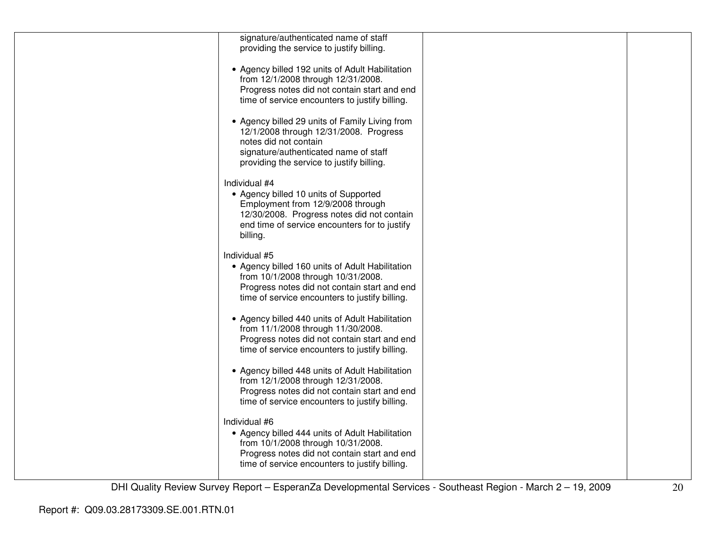| signature/authenticated name of staff           |  |
|-------------------------------------------------|--|
| providing the service to justify billing.       |  |
|                                                 |  |
| • Agency billed 192 units of Adult Habilitation |  |
| from 12/1/2008 through 12/31/2008.              |  |
|                                                 |  |
| Progress notes did not contain start and end    |  |
| time of service encounters to justify billing.  |  |
|                                                 |  |
| • Agency billed 29 units of Family Living from  |  |
| 12/1/2008 through 12/31/2008. Progress          |  |
| notes did not contain                           |  |
| signature/authenticated name of staff           |  |
| providing the service to justify billing.       |  |
|                                                 |  |
| Individual #4                                   |  |
| • Agency billed 10 units of Supported           |  |
| Employment from 12/9/2008 through               |  |
|                                                 |  |
| 12/30/2008. Progress notes did not contain      |  |
| end time of service encounters for to justify   |  |
| billing.                                        |  |
|                                                 |  |
| Individual #5                                   |  |
| • Agency billed 160 units of Adult Habilitation |  |
| from 10/1/2008 through 10/31/2008.              |  |
| Progress notes did not contain start and end    |  |
| time of service encounters to justify billing.  |  |
|                                                 |  |
| • Agency billed 440 units of Adult Habilitation |  |
| from 11/1/2008 through 11/30/2008.              |  |
| Progress notes did not contain start and end    |  |
| time of service encounters to justify billing.  |  |
|                                                 |  |
|                                                 |  |
| • Agency billed 448 units of Adult Habilitation |  |
| from 12/1/2008 through 12/31/2008.              |  |
| Progress notes did not contain start and end    |  |
| time of service encounters to justify billing.  |  |
|                                                 |  |
| Individual #6                                   |  |
| • Agency billed 444 units of Adult Habilitation |  |
| from 10/1/2008 through 10/31/2008.              |  |
| Progress notes did not contain start and end    |  |
| time of service encounters to justify billing.  |  |
|                                                 |  |
|                                                 |  |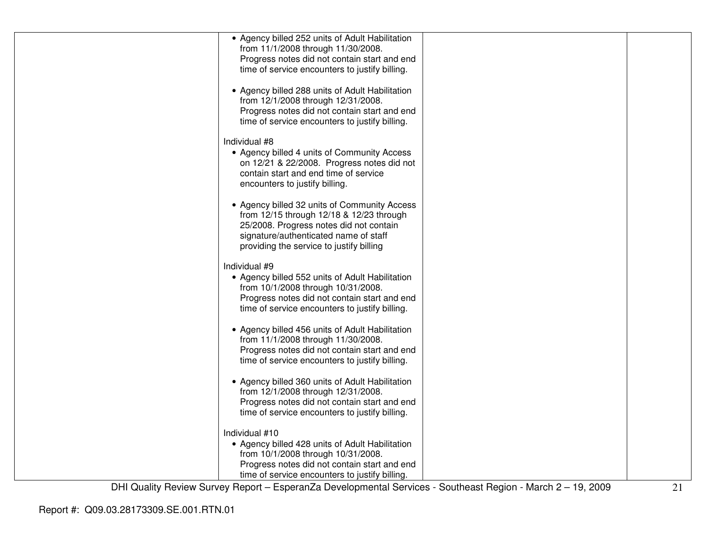| • Agency billed 252 units of Adult Habilitation<br>from 11/1/2008 through 11/30/2008.          |  |
|------------------------------------------------------------------------------------------------|--|
| Progress notes did not contain start and end                                                   |  |
| time of service encounters to justify billing.                                                 |  |
|                                                                                                |  |
| • Agency billed 288 units of Adult Habilitation                                                |  |
| from 12/1/2008 through 12/31/2008.                                                             |  |
| Progress notes did not contain start and end<br>time of service encounters to justify billing. |  |
|                                                                                                |  |
| Individual #8                                                                                  |  |
| • Agency billed 4 units of Community Access                                                    |  |
| on 12/21 & 22/2008. Progress notes did not                                                     |  |
| contain start and end time of service                                                          |  |
| encounters to justify billing.                                                                 |  |
| • Agency billed 32 units of Community Access                                                   |  |
| from 12/15 through 12/18 & 12/23 through                                                       |  |
| 25/2008. Progress notes did not contain                                                        |  |
| signature/authenticated name of staff<br>providing the service to justify billing              |  |
|                                                                                                |  |
| Individual #9                                                                                  |  |
| • Agency billed 552 units of Adult Habilitation                                                |  |
| from 10/1/2008 through 10/31/2008.                                                             |  |
| Progress notes did not contain start and end<br>time of service encounters to justify billing. |  |
|                                                                                                |  |
| • Agency billed 456 units of Adult Habilitation                                                |  |
| from 11/1/2008 through 11/30/2008.                                                             |  |
| Progress notes did not contain start and end                                                   |  |
| time of service encounters to justify billing.                                                 |  |
| • Agency billed 360 units of Adult Habilitation                                                |  |
| from 12/1/2008 through 12/31/2008.                                                             |  |
| Progress notes did not contain start and end                                                   |  |
| time of service encounters to justify billing.                                                 |  |
| Individual #10                                                                                 |  |
| • Agency billed 428 units of Adult Habilitation                                                |  |
| from 10/1/2008 through 10/31/2008.                                                             |  |
| Progress notes did not contain start and end                                                   |  |
| time of service encounters to justify billing.                                                 |  |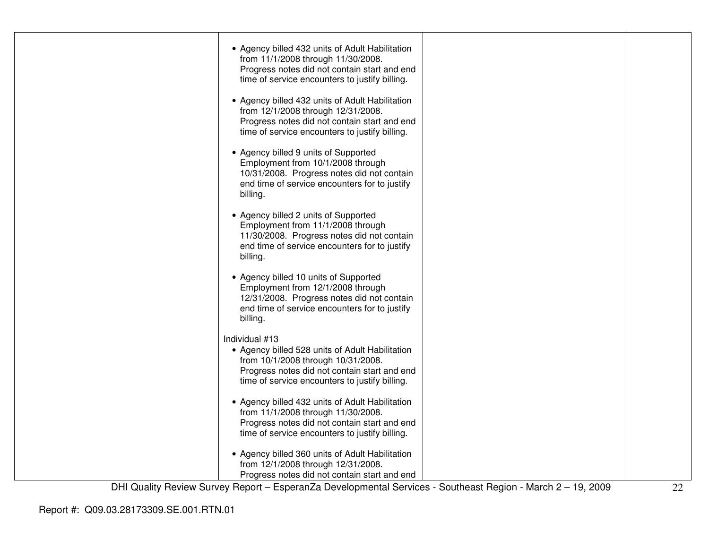| • Agency billed 432 units of Adult Habilitation<br>from 11/1/2008 through 11/30/2008.<br>Progress notes did not contain start and end<br>time of service encounters to justify billing.<br>• Agency billed 432 units of Adult Habilitation |  |
|--------------------------------------------------------------------------------------------------------------------------------------------------------------------------------------------------------------------------------------------|--|
| from 12/1/2008 through 12/31/2008.<br>Progress notes did not contain start and end<br>time of service encounters to justify billing.                                                                                                       |  |
| • Agency billed 9 units of Supported<br>Employment from 10/1/2008 through<br>10/31/2008. Progress notes did not contain<br>end time of service encounters for to justify<br>billing.                                                       |  |
| • Agency billed 2 units of Supported<br>Employment from 11/1/2008 through<br>11/30/2008. Progress notes did not contain<br>end time of service encounters for to justify<br>billing.                                                       |  |
| • Agency billed 10 units of Supported<br>Employment from 12/1/2008 through<br>12/31/2008. Progress notes did not contain<br>end time of service encounters for to justify<br>billing.                                                      |  |
| Individual #13<br>• Agency billed 528 units of Adult Habilitation<br>from 10/1/2008 through 10/31/2008.<br>Progress notes did not contain start and end<br>time of service encounters to justify billing.                                  |  |
| • Agency billed 432 units of Adult Habilitation<br>from 11/1/2008 through 11/30/2008.<br>Progress notes did not contain start and end<br>time of service encounters to justify billing.                                                    |  |
| • Agency billed 360 units of Adult Habilitation<br>from 12/1/2008 through 12/31/2008.<br>Progress notes did not contain start and end                                                                                                      |  |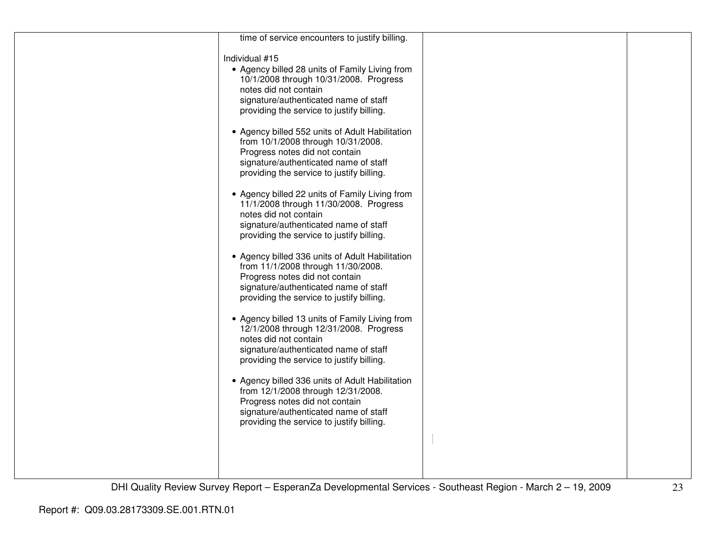| time of service encounters to justify billing.                                                                                                                                                                |  |
|---------------------------------------------------------------------------------------------------------------------------------------------------------------------------------------------------------------|--|
| Individual #15<br>• Agency billed 28 units of Family Living from                                                                                                                                              |  |
| 10/1/2008 through 10/31/2008. Progress<br>notes did not contain                                                                                                                                               |  |
| signature/authenticated name of staff                                                                                                                                                                         |  |
| providing the service to justify billing.                                                                                                                                                                     |  |
| • Agency billed 552 units of Adult Habilitation<br>from 10/1/2008 through 10/31/2008.<br>Progress notes did not contain<br>signature/authenticated name of staff<br>providing the service to justify billing. |  |
|                                                                                                                                                                                                               |  |
| • Agency billed 22 units of Family Living from<br>11/1/2008 through 11/30/2008. Progress<br>notes did not contain                                                                                             |  |
| signature/authenticated name of staff<br>providing the service to justify billing.                                                                                                                            |  |
| • Agency billed 336 units of Adult Habilitation<br>from 11/1/2008 through 11/30/2008.                                                                                                                         |  |
| Progress notes did not contain<br>signature/authenticated name of staff                                                                                                                                       |  |
| providing the service to justify billing.                                                                                                                                                                     |  |
| • Agency billed 13 units of Family Living from<br>12/1/2008 through 12/31/2008. Progress                                                                                                                      |  |
| notes did not contain<br>signature/authenticated name of staff                                                                                                                                                |  |
| providing the service to justify billing.                                                                                                                                                                     |  |
| • Agency billed 336 units of Adult Habilitation                                                                                                                                                               |  |
| from 12/1/2008 through 12/31/2008.                                                                                                                                                                            |  |
| Progress notes did not contain<br>signature/authenticated name of staff                                                                                                                                       |  |
| providing the service to justify billing.                                                                                                                                                                     |  |
|                                                                                                                                                                                                               |  |
|                                                                                                                                                                                                               |  |
|                                                                                                                                                                                                               |  |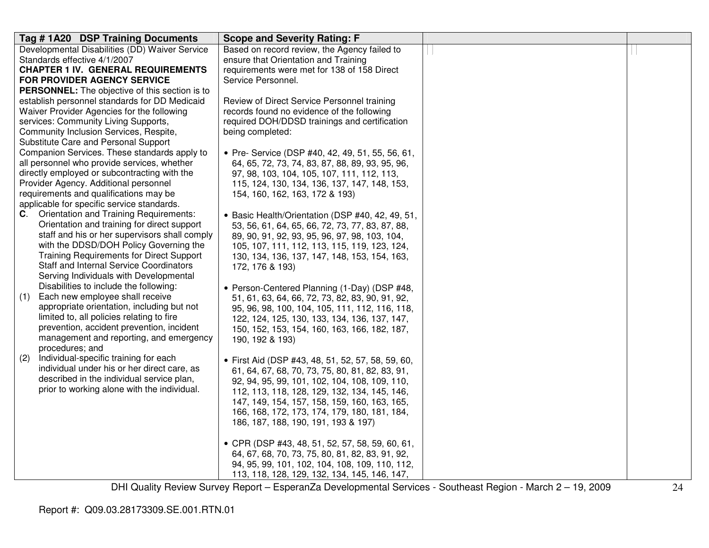| Tag #1A20 DSP Training Documents                                                               | <b>Scope and Severity Rating: F</b>                                                            |  |
|------------------------------------------------------------------------------------------------|------------------------------------------------------------------------------------------------|--|
| Developmental Disabilities (DD) Waiver Service                                                 | Based on record review, the Agency failed to                                                   |  |
| Standards effective 4/1/2007                                                                   | ensure that Orientation and Training                                                           |  |
| <b>CHAPTER 1 IV. GENERAL REQUIREMENTS</b>                                                      | requirements were met for 138 of 158 Direct                                                    |  |
| FOR PROVIDER AGENCY SERVICE                                                                    | Service Personnel.                                                                             |  |
| <b>PERSONNEL:</b> The objective of this section is to                                          |                                                                                                |  |
| establish personnel standards for DD Medicaid                                                  | Review of Direct Service Personnel training                                                    |  |
| Waiver Provider Agencies for the following                                                     | records found no evidence of the following                                                     |  |
| services: Community Living Supports,                                                           | required DOH/DDSD trainings and certification                                                  |  |
| Community Inclusion Services, Respite,                                                         | being completed:                                                                               |  |
| Substitute Care and Personal Support                                                           |                                                                                                |  |
| Companion Services. These standards apply to                                                   | • Pre- Service (DSP #40, 42, 49, 51, 55, 56, 61,                                               |  |
| all personnel who provide services, whether                                                    | 64, 65, 72, 73, 74, 83, 87, 88, 89, 93, 95, 96,                                                |  |
| directly employed or subcontracting with the                                                   | 97, 98, 103, 104, 105, 107, 111, 112, 113,                                                     |  |
| Provider Agency. Additional personnel                                                          | 115, 124, 130, 134, 136, 137, 147, 148, 153,                                                   |  |
| requirements and qualifications may be                                                         | 154, 160, 162, 163, 172 & 193)                                                                 |  |
| applicable for specific service standards.<br><b>C.</b> Orientation and Training Requirements: |                                                                                                |  |
| Orientation and training for direct support                                                    | • Basic Health/Orientation (DSP #40, 42, 49, 51,                                               |  |
| staff and his or her supervisors shall comply                                                  | 53, 56, 61, 64, 65, 66, 72, 73, 77, 83, 87, 88,                                                |  |
| with the DDSD/DOH Policy Governing the                                                         | 89, 90, 91, 92, 93, 95, 96, 97, 98, 103, 104,                                                  |  |
| <b>Training Requirements for Direct Support</b>                                                | 105, 107, 111, 112, 113, 115, 119, 123, 124,                                                   |  |
| <b>Staff and Internal Service Coordinators</b>                                                 | 130, 134, 136, 137, 147, 148, 153, 154, 163,                                                   |  |
| Serving Individuals with Developmental                                                         | 172, 176 & 193)                                                                                |  |
| Disabilities to include the following:                                                         |                                                                                                |  |
| Each new employee shall receive<br>(1)                                                         | • Person-Centered Planning (1-Day) (DSP #48,                                                   |  |
| appropriate orientation, including but not                                                     | 51, 61, 63, 64, 66, 72, 73, 82, 83, 90, 91, 92,                                                |  |
| limited to, all policies relating to fire                                                      | 95, 96, 98, 100, 104, 105, 111, 112, 116, 118,<br>122, 124, 125, 130, 133, 134, 136, 137, 147, |  |
| prevention, accident prevention, incident                                                      | 150, 152, 153, 154, 160, 163, 166, 182, 187,                                                   |  |
| management and reporting, and emergency                                                        | 190, 192 & 193)                                                                                |  |
| procedures; and                                                                                |                                                                                                |  |
| Individual-specific training for each<br>(2)                                                   | • First Aid (DSP #43, 48, 51, 52, 57, 58, 59, 60,                                              |  |
| individual under his or her direct care, as                                                    | 61, 64, 67, 68, 70, 73, 75, 80, 81, 82, 83, 91,                                                |  |
| described in the individual service plan,                                                      | 92, 94, 95, 99, 101, 102, 104, 108, 109, 110,                                                  |  |
| prior to working alone with the individual.                                                    | 112, 113, 118, 128, 129, 132, 134, 145, 146,                                                   |  |
|                                                                                                | 147, 149, 154, 157, 158, 159, 160, 163, 165,                                                   |  |
|                                                                                                | 166, 168, 172, 173, 174, 179, 180, 181, 184,                                                   |  |
|                                                                                                | 186, 187, 188, 190, 191, 193 & 197)                                                            |  |
|                                                                                                |                                                                                                |  |
|                                                                                                | • CPR (DSP #43, 48, 51, 52, 57, 58, 59, 60, 61,                                                |  |
|                                                                                                | 64, 67, 68, 70, 73, 75, 80, 81, 82, 83, 91, 92,                                                |  |
|                                                                                                | 94, 95, 99, 101, 102, 104, 108, 109, 110, 112,                                                 |  |
|                                                                                                | 113, 118, 128, 129, 132, 134, 145, 146, 147,                                                   |  |
|                                                                                                |                                                                                                |  |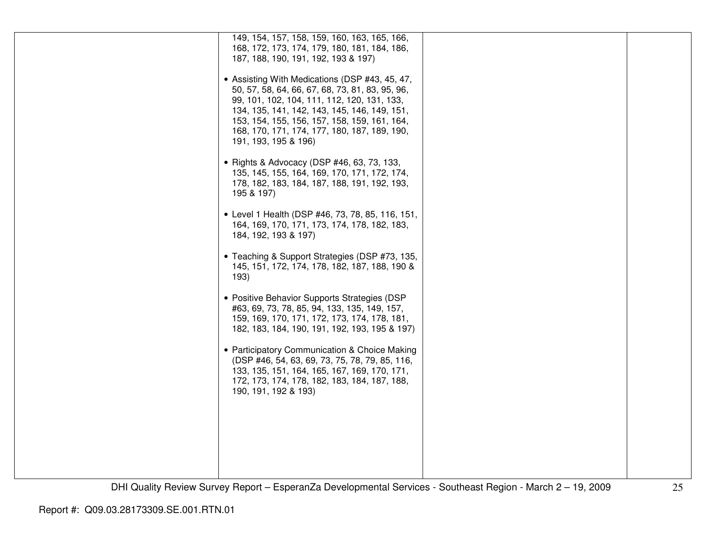| 149, 154, 157, 158, 159, 160, 163, 165, 166,<br>168, 172, 173, 174, 179, 180, 181, 184, 186,<br>187, 188, 190, 191, 192, 193 & 197)<br>• Assisting With Medications (DSP #43, 45, 47,<br>50, 57, 58, 64, 66, 67, 68, 73, 81, 83, 95, 96,<br>99, 101, 102, 104, 111, 112, 120, 131, 133,<br>134, 135, 141, 142, 143, 145, 146, 149, 151,<br>153, 154, 155, 156, 157, 158, 159, 161, 164,<br>168, 170, 171, 174, 177, 180, 187, 189, 190,<br>191, 193, 195 & 196)<br>• Rights & Advocacy (DSP #46, 63, 73, 133,<br>135, 145, 155, 164, 169, 170, 171, 172, 174,<br>178, 182, 183, 184, 187, 188, 191, 192, 193,<br>195 & 197)<br>• Level 1 Health (DSP #46, 73, 78, 85, 116, 151,<br>164, 169, 170, 171, 173, 174, 178, 182, 183,<br>184, 192, 193 & 197)<br>• Teaching & Support Strategies (DSP #73, 135,<br>145, 151, 172, 174, 178, 182, 187, 188, 190 &<br>193)<br>• Positive Behavior Supports Strategies (DSP<br>#63, 69, 73, 78, 85, 94, 133, 135, 149, 157,<br>159, 169, 170, 171, 172, 173, 174, 178, 181,<br>182, 183, 184, 190, 191, 192, 193, 195 & 197)<br>• Participatory Communication & Choice Making<br>(DSP #46, 54, 63, 69, 73, 75, 78, 79, 85, 116,<br>133, 135, 151, 164, 165, 167, 169, 170, 171,<br>172, 173, 174, 178, 182, 183, 184, 187, 188,<br>190, 191, 192 & 193) |  |  |
|------------------------------------------------------------------------------------------------------------------------------------------------------------------------------------------------------------------------------------------------------------------------------------------------------------------------------------------------------------------------------------------------------------------------------------------------------------------------------------------------------------------------------------------------------------------------------------------------------------------------------------------------------------------------------------------------------------------------------------------------------------------------------------------------------------------------------------------------------------------------------------------------------------------------------------------------------------------------------------------------------------------------------------------------------------------------------------------------------------------------------------------------------------------------------------------------------------------------------------------------------------------------------------------------|--|--|
|                                                                                                                                                                                                                                                                                                                                                                                                                                                                                                                                                                                                                                                                                                                                                                                                                                                                                                                                                                                                                                                                                                                                                                                                                                                                                                |  |  |
|                                                                                                                                                                                                                                                                                                                                                                                                                                                                                                                                                                                                                                                                                                                                                                                                                                                                                                                                                                                                                                                                                                                                                                                                                                                                                                |  |  |
|                                                                                                                                                                                                                                                                                                                                                                                                                                                                                                                                                                                                                                                                                                                                                                                                                                                                                                                                                                                                                                                                                                                                                                                                                                                                                                |  |  |
|                                                                                                                                                                                                                                                                                                                                                                                                                                                                                                                                                                                                                                                                                                                                                                                                                                                                                                                                                                                                                                                                                                                                                                                                                                                                                                |  |  |
|                                                                                                                                                                                                                                                                                                                                                                                                                                                                                                                                                                                                                                                                                                                                                                                                                                                                                                                                                                                                                                                                                                                                                                                                                                                                                                |  |  |
|                                                                                                                                                                                                                                                                                                                                                                                                                                                                                                                                                                                                                                                                                                                                                                                                                                                                                                                                                                                                                                                                                                                                                                                                                                                                                                |  |  |
|                                                                                                                                                                                                                                                                                                                                                                                                                                                                                                                                                                                                                                                                                                                                                                                                                                                                                                                                                                                                                                                                                                                                                                                                                                                                                                |  |  |
|                                                                                                                                                                                                                                                                                                                                                                                                                                                                                                                                                                                                                                                                                                                                                                                                                                                                                                                                                                                                                                                                                                                                                                                                                                                                                                |  |  |
|                                                                                                                                                                                                                                                                                                                                                                                                                                                                                                                                                                                                                                                                                                                                                                                                                                                                                                                                                                                                                                                                                                                                                                                                                                                                                                |  |  |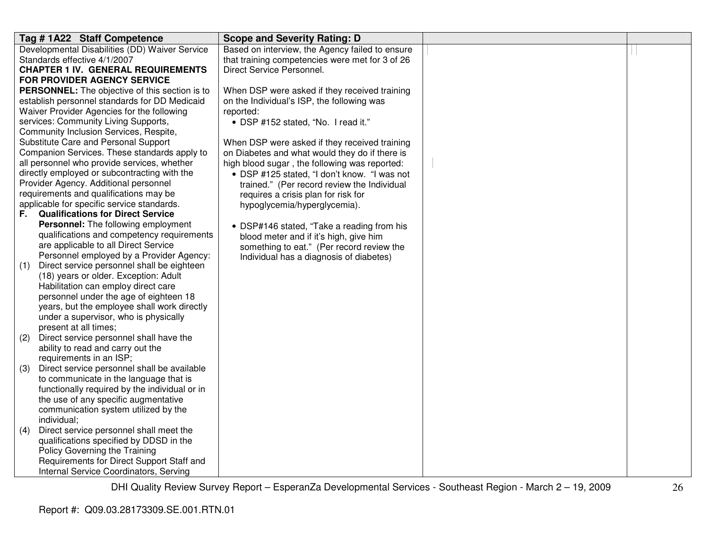| Tag #1A22 Staff Competence                                                           | <b>Scope and Severity Rating: D</b>             |  |
|--------------------------------------------------------------------------------------|-------------------------------------------------|--|
| Developmental Disabilities (DD) Waiver Service                                       | Based on interview, the Agency failed to ensure |  |
| Standards effective 4/1/2007                                                         | that training competencies were met for 3 of 26 |  |
| <b>CHAPTER 1 IV. GENERAL REQUIREMENTS</b>                                            | Direct Service Personnel.                       |  |
| <b>FOR PROVIDER AGENCY SERVICE</b>                                                   |                                                 |  |
| PERSONNEL: The objective of this section is to                                       | When DSP were asked if they received training   |  |
| establish personnel standards for DD Medicaid                                        | on the Individual's ISP, the following was      |  |
| Waiver Provider Agencies for the following                                           | reported:                                       |  |
| services: Community Living Supports,                                                 | • DSP #152 stated, "No. I read it."             |  |
| Community Inclusion Services, Respite,                                               |                                                 |  |
| Substitute Care and Personal Support                                                 | When DSP were asked if they received training   |  |
| Companion Services. These standards apply to                                         | on Diabetes and what would they do if there is  |  |
| all personnel who provide services, whether                                          | high blood sugar, the following was reported:   |  |
| directly employed or subcontracting with the                                         | • DSP #125 stated, "I don't know. "I was not    |  |
| Provider Agency. Additional personnel                                                | trained." (Per record review the Individual     |  |
| requirements and qualifications may be                                               | requires a crisis plan for risk for             |  |
| applicable for specific service standards.                                           | hypoglycemia/hyperglycemia).                    |  |
| <b>Qualifications for Direct Service</b><br>F.                                       |                                                 |  |
| Personnel: The following employment                                                  | • DSP#146 stated, "Take a reading from his      |  |
| qualifications and competency requirements                                           | blood meter and if it's high, give him          |  |
| are applicable to all Direct Service                                                 | something to eat." (Per record review the       |  |
| Personnel employed by a Provider Agency:                                             | Individual has a diagnosis of diabetes)         |  |
| Direct service personnel shall be eighteen<br>(1)                                    |                                                 |  |
| (18) years or older. Exception: Adult                                                |                                                 |  |
| Habilitation can employ direct care                                                  |                                                 |  |
| personnel under the age of eighteen 18                                               |                                                 |  |
| years, but the employee shall work directly<br>under a supervisor, who is physically |                                                 |  |
| present at all times;                                                                |                                                 |  |
| Direct service personnel shall have the<br>(2)                                       |                                                 |  |
| ability to read and carry out the                                                    |                                                 |  |
| requirements in an ISP;                                                              |                                                 |  |
| Direct service personnel shall be available<br>(3)                                   |                                                 |  |
| to communicate in the language that is                                               |                                                 |  |
| functionally required by the individual or in                                        |                                                 |  |
| the use of any specific augmentative                                                 |                                                 |  |
| communication system utilized by the                                                 |                                                 |  |
| individual;                                                                          |                                                 |  |
| Direct service personnel shall meet the<br>(4)                                       |                                                 |  |
| qualifications specified by DDSD in the                                              |                                                 |  |
| Policy Governing the Training                                                        |                                                 |  |
| Requirements for Direct Support Staff and                                            |                                                 |  |
| Internal Service Coordinators, Serving                                               |                                                 |  |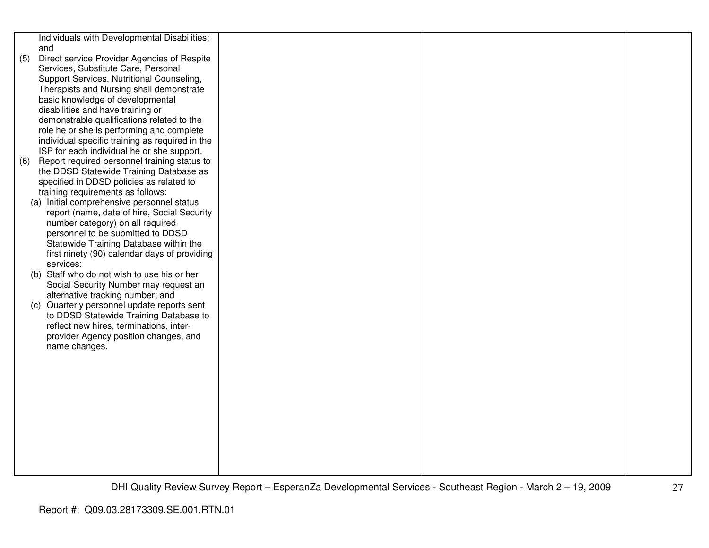|     | Individuals with Developmental Disabilities;                                        |  |  |
|-----|-------------------------------------------------------------------------------------|--|--|
|     | and                                                                                 |  |  |
| (5) | Direct service Provider Agencies of Respite                                         |  |  |
|     | Services, Substitute Care, Personal                                                 |  |  |
|     | Support Services, Nutritional Counseling,                                           |  |  |
|     | Therapists and Nursing shall demonstrate                                            |  |  |
|     | basic knowledge of developmental                                                    |  |  |
|     | disabilities and have training or                                                   |  |  |
|     | demonstrable qualifications related to the                                          |  |  |
|     | role he or she is performing and complete                                           |  |  |
|     | individual specific training as required in the                                     |  |  |
|     | ISP for each individual he or she support.                                          |  |  |
| (6) | Report required personnel training status to                                        |  |  |
|     | the DDSD Statewide Training Database as<br>specified in DDSD policies as related to |  |  |
|     | training requirements as follows:                                                   |  |  |
|     | (a) Initial comprehensive personnel status                                          |  |  |
|     | report (name, date of hire, Social Security                                         |  |  |
|     | number category) on all required                                                    |  |  |
|     | personnel to be submitted to DDSD                                                   |  |  |
|     | Statewide Training Database within the                                              |  |  |
|     | first ninety (90) calendar days of providing                                        |  |  |
|     | services;                                                                           |  |  |
|     | (b) Staff who do not wish to use his or her                                         |  |  |
|     | Social Security Number may request an                                               |  |  |
|     | alternative tracking number; and                                                    |  |  |
|     | (c) Quarterly personnel update reports sent                                         |  |  |
|     | to DDSD Statewide Training Database to                                              |  |  |
|     | reflect new hires, terminations, inter-                                             |  |  |
|     | provider Agency position changes, and                                               |  |  |
|     | name changes.                                                                       |  |  |
|     |                                                                                     |  |  |
|     |                                                                                     |  |  |
|     |                                                                                     |  |  |
|     |                                                                                     |  |  |
|     |                                                                                     |  |  |
|     |                                                                                     |  |  |
|     |                                                                                     |  |  |
|     |                                                                                     |  |  |
|     |                                                                                     |  |  |
|     |                                                                                     |  |  |
|     |                                                                                     |  |  |
|     |                                                                                     |  |  |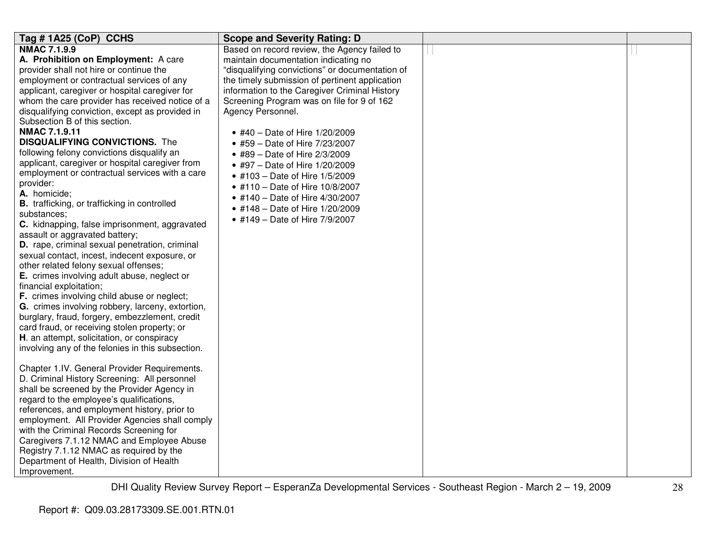| Tag #1A25 (CoP) CCHS                                               | <b>Scope and Severity Rating: D</b>             |  |
|--------------------------------------------------------------------|-------------------------------------------------|--|
| <b>NMAC 7.1.9.9</b>                                                | Based on record review, the Agency failed to    |  |
| A. Prohibition on Employment: A care                               | maintain documentation indicating no            |  |
| provider shall not hire or continue the                            | "disqualifying convictions" or documentation of |  |
| employment or contractual services of any                          | the timely submission of pertinent application  |  |
| applicant, caregiver or hospital caregiver for                     | information to the Caregiver Criminal History   |  |
| whom the care provider has received notice of a                    | Screening Program was on file for 9 of 162      |  |
| disqualifying conviction, except as provided in                    | Agency Personnel.                               |  |
| Subsection B of this section.                                      |                                                 |  |
| <b>NMAC 7.1.9.11</b>                                               | • #40 - Date of Hire 1/20/2009                  |  |
| <b>DISQUALIFYING CONVICTIONS.</b> The                              | • #59 - Date of Hire 7/23/2007                  |  |
| following felony convictions disqualify an                         | • #89 - Date of Hire 2/3/2009                   |  |
| applicant, caregiver or hospital caregiver from                    | • #97 - Date of Hire 1/20/2009                  |  |
| employment or contractual services with a care                     | • #103 - Date of Hire 1/5/2009                  |  |
| provider:                                                          | • #110 - Date of Hire 10/8/2007                 |  |
| A. homicide;                                                       | • #140 - Date of Hire 4/30/2007                 |  |
| <b>B.</b> trafficking, or trafficking in controlled<br>substances: | • #148 - Date of Hire 1/20/2009                 |  |
| C. kidnapping, false imprisonment, aggravated                      | • #149 - Date of Hire 7/9/2007                  |  |
| assault or aggravated battery;                                     |                                                 |  |
| D. rape, criminal sexual penetration, criminal                     |                                                 |  |
| sexual contact, incest, indecent exposure, or                      |                                                 |  |
| other related felony sexual offenses;                              |                                                 |  |
| E. crimes involving adult abuse, neglect or                        |                                                 |  |
| financial exploitation;                                            |                                                 |  |
| F. crimes involving child abuse or neglect;                        |                                                 |  |
| G. crimes involving robbery, larceny, extortion,                   |                                                 |  |
| burglary, fraud, forgery, embezzlement, credit                     |                                                 |  |
| card fraud, or receiving stolen property; or                       |                                                 |  |
| H. an attempt, solicitation, or conspiracy                         |                                                 |  |
| involving any of the felonies in this subsection.                  |                                                 |  |
|                                                                    |                                                 |  |
| Chapter 1.IV. General Provider Requirements.                       |                                                 |  |
| D. Criminal History Screening: All personnel                       |                                                 |  |
| shall be screened by the Provider Agency in                        |                                                 |  |
| regard to the employee's qualifications,                           |                                                 |  |
| references, and employment history, prior to                       |                                                 |  |
| employment. All Provider Agencies shall comply                     |                                                 |  |
| with the Criminal Records Screening for                            |                                                 |  |
| Caregivers 7.1.12 NMAC and Employee Abuse                          |                                                 |  |
| Registry 7.1.12 NMAC as required by the                            |                                                 |  |
| Department of Health, Division of Health                           |                                                 |  |
| Improvement.                                                       |                                                 |  |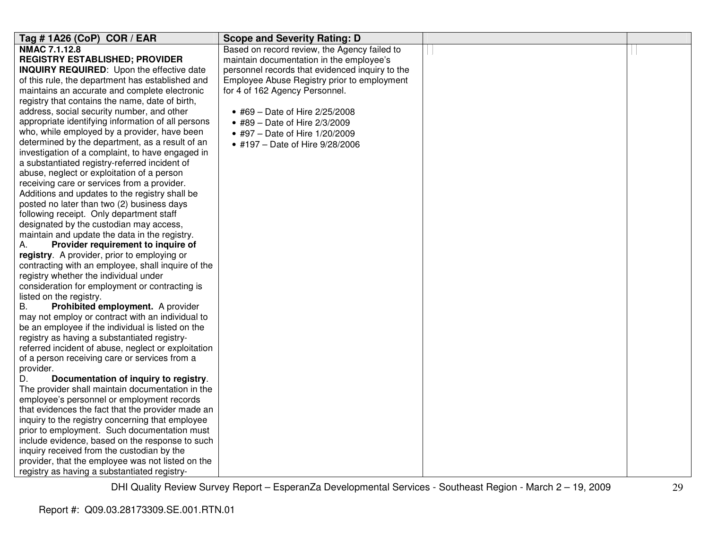| Tag # 1A26 (CoP) COR / EAR                          | <b>Scope and Severity Rating: D</b>             |  |
|-----------------------------------------------------|-------------------------------------------------|--|
| <b>NMAC 7.1.12.8</b>                                | Based on record review, the Agency failed to    |  |
| <b>REGISTRY ESTABLISHED; PROVIDER</b>               | maintain documentation in the employee's        |  |
| <b>INQUIRY REQUIRED:</b> Upon the effective date    | personnel records that evidenced inquiry to the |  |
| of this rule, the department has established and    | Employee Abuse Registry prior to employment     |  |
| maintains an accurate and complete electronic       | for 4 of 162 Agency Personnel.                  |  |
| registry that contains the name, date of birth,     |                                                 |  |
| address, social security number, and other          | • #69 - Date of Hire 2/25/2008                  |  |
| appropriate identifying information of all persons  | • #89 - Date of Hire 2/3/2009                   |  |
| who, while employed by a provider, have been        | • #97 - Date of Hire 1/20/2009                  |  |
| determined by the department, as a result of an     | • #197 - Date of Hire 9/28/2006                 |  |
| investigation of a complaint, to have engaged in    |                                                 |  |
| a substantiated registry-referred incident of       |                                                 |  |
| abuse, neglect or exploitation of a person          |                                                 |  |
| receiving care or services from a provider.         |                                                 |  |
| Additions and updates to the registry shall be      |                                                 |  |
| posted no later than two (2) business days          |                                                 |  |
| following receipt. Only department staff            |                                                 |  |
| designated by the custodian may access,             |                                                 |  |
| maintain and update the data in the registry.       |                                                 |  |
| Provider requirement to inquire of<br>А.            |                                                 |  |
| registry. A provider, prior to employing or         |                                                 |  |
| contracting with an employee, shall inquire of the  |                                                 |  |
| registry whether the individual under               |                                                 |  |
| consideration for employment or contracting is      |                                                 |  |
| listed on the registry.                             |                                                 |  |
| Prohibited employment. A provider<br>В.             |                                                 |  |
| may not employ or contract with an individual to    |                                                 |  |
| be an employee if the individual is listed on the   |                                                 |  |
| registry as having a substantiated registry-        |                                                 |  |
| referred incident of abuse, neglect or exploitation |                                                 |  |
| of a person receiving care or services from a       |                                                 |  |
| provider.                                           |                                                 |  |
| D.<br>Documentation of inquiry to registry.         |                                                 |  |
| The provider shall maintain documentation in the    |                                                 |  |
| employee's personnel or employment records          |                                                 |  |
| that evidences the fact that the provider made an   |                                                 |  |
| inquiry to the registry concerning that employee    |                                                 |  |
| prior to employment. Such documentation must        |                                                 |  |
| include evidence, based on the response to such     |                                                 |  |
| inquiry received from the custodian by the          |                                                 |  |
| provider, that the employee was not listed on the   |                                                 |  |
| registry as having a substantiated registry-        |                                                 |  |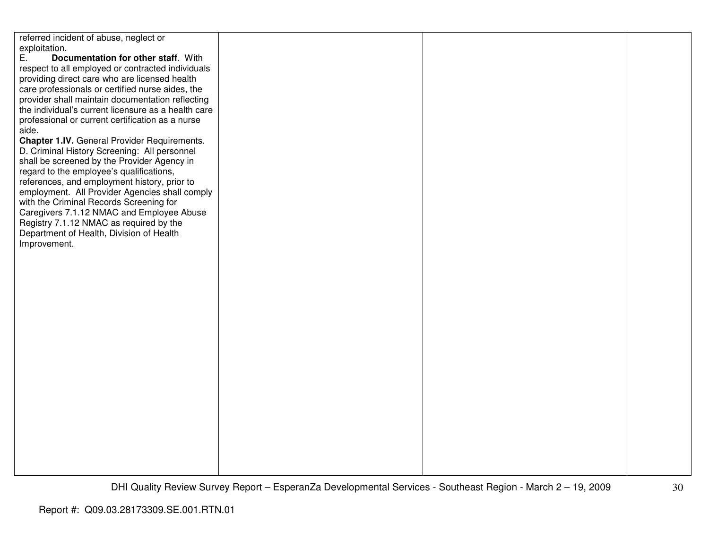| referred incident of abuse, neglect or              |  |  |
|-----------------------------------------------------|--|--|
| exploitation.                                       |  |  |
| Ε.                                                  |  |  |
| Documentation for other staff. With                 |  |  |
| respect to all employed or contracted individuals   |  |  |
| providing direct care who are licensed health       |  |  |
| care professionals or certified nurse aides, the    |  |  |
| provider shall maintain documentation reflecting    |  |  |
| the individual's current licensure as a health care |  |  |
| professional or current certification as a nurse    |  |  |
| aide.                                               |  |  |
| Chapter 1.IV. General Provider Requirements.        |  |  |
| D. Criminal History Screening: All personnel        |  |  |
| shall be screened by the Provider Agency in         |  |  |
| regard to the employee's qualifications,            |  |  |
| references, and employment history, prior to        |  |  |
| employment. All Provider Agencies shall comply      |  |  |
| with the Criminal Records Screening for             |  |  |
|                                                     |  |  |
| Caregivers 7.1.12 NMAC and Employee Abuse           |  |  |
| Registry 7.1.12 NMAC as required by the             |  |  |
| Department of Health, Division of Health            |  |  |
| Improvement.                                        |  |  |
|                                                     |  |  |
|                                                     |  |  |
|                                                     |  |  |
|                                                     |  |  |
|                                                     |  |  |
|                                                     |  |  |
|                                                     |  |  |
|                                                     |  |  |
|                                                     |  |  |
|                                                     |  |  |
|                                                     |  |  |
|                                                     |  |  |
|                                                     |  |  |
|                                                     |  |  |
|                                                     |  |  |
|                                                     |  |  |
|                                                     |  |  |
|                                                     |  |  |
|                                                     |  |  |
|                                                     |  |  |
|                                                     |  |  |
|                                                     |  |  |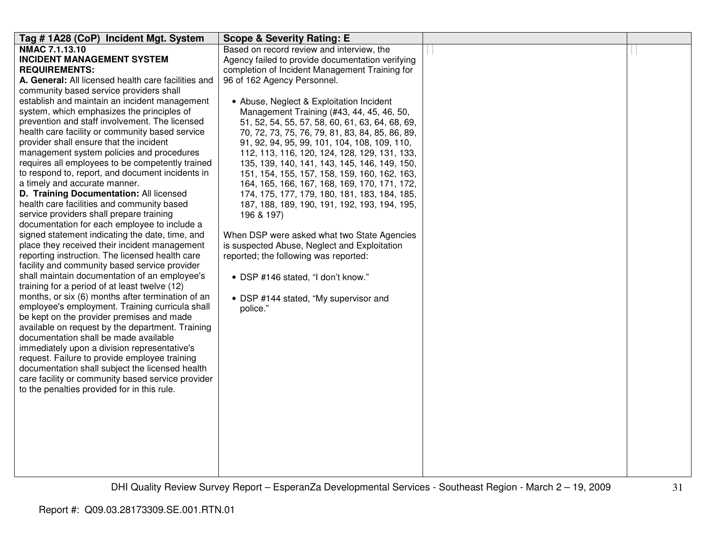| Tag # 1A28 (CoP) Incident Mgt. System               | <b>Scope &amp; Severity Rating: E</b>            |  |
|-----------------------------------------------------|--------------------------------------------------|--|
| <b>NMAC 7.1.13.10</b>                               | Based on record review and interview, the        |  |
| <b>INCIDENT MANAGEMENT SYSTEM</b>                   | Agency failed to provide documentation verifying |  |
| <b>REQUIREMENTS:</b>                                | completion of Incident Management Training for   |  |
| A. General: All licensed health care facilities and | 96 of 162 Agency Personnel.                      |  |
| community based service providers shall             |                                                  |  |
| establish and maintain an incident management       | • Abuse, Neglect & Exploitation Incident         |  |
| system, which emphasizes the principles of          | Management Training (#43, 44, 45, 46, 50,        |  |
| prevention and staff involvement. The licensed      | 51, 52, 54, 55, 57, 58, 60, 61, 63, 64, 68, 69,  |  |
| health care facility or community based service     | 70, 72, 73, 75, 76, 79, 81, 83, 84, 85, 86, 89,  |  |
| provider shall ensure that the incident             | 91, 92, 94, 95, 99, 101, 104, 108, 109, 110,     |  |
| management system policies and procedures           | 112, 113, 116, 120, 124, 128, 129, 131, 133,     |  |
| requires all employees to be competently trained    | 135, 139, 140, 141, 143, 145, 146, 149, 150,     |  |
| to respond to, report, and document incidents in    | 151, 154, 155, 157, 158, 159, 160, 162, 163,     |  |
| a timely and accurate manner.                       | 164, 165, 166, 167, 168, 169, 170, 171, 172,     |  |
| D. Training Documentation: All licensed             | 174, 175, 177, 179, 180, 181, 183, 184, 185,     |  |
| health care facilities and community based          | 187, 188, 189, 190, 191, 192, 193, 194, 195,     |  |
| service providers shall prepare training            | 196 & 197)                                       |  |
| documentation for each employee to include a        |                                                  |  |
| signed statement indicating the date, time, and     | When DSP were asked what two State Agencies      |  |
| place they received their incident management       | is suspected Abuse, Neglect and Exploitation     |  |
| reporting instruction. The licensed health care     | reported; the following was reported:            |  |
| facility and community based service provider       |                                                  |  |
| shall maintain documentation of an employee's       | • DSP #146 stated, "I don't know."               |  |
| training for a period of at least twelve (12)       |                                                  |  |
| months, or six (6) months after termination of an   | • DSP #144 stated, "My supervisor and            |  |
| employee's employment. Training curricula shall     | police."                                         |  |
| be kept on the provider premises and made           |                                                  |  |
| available on request by the department. Training    |                                                  |  |
| documentation shall be made available               |                                                  |  |
| immediately upon a division representative's        |                                                  |  |
| request. Failure to provide employee training       |                                                  |  |
| documentation shall subject the licensed health     |                                                  |  |
| care facility or community based service provider   |                                                  |  |
| to the penalties provided for in this rule.         |                                                  |  |
|                                                     |                                                  |  |
|                                                     |                                                  |  |
|                                                     |                                                  |  |
|                                                     |                                                  |  |
|                                                     |                                                  |  |
|                                                     |                                                  |  |
|                                                     |                                                  |  |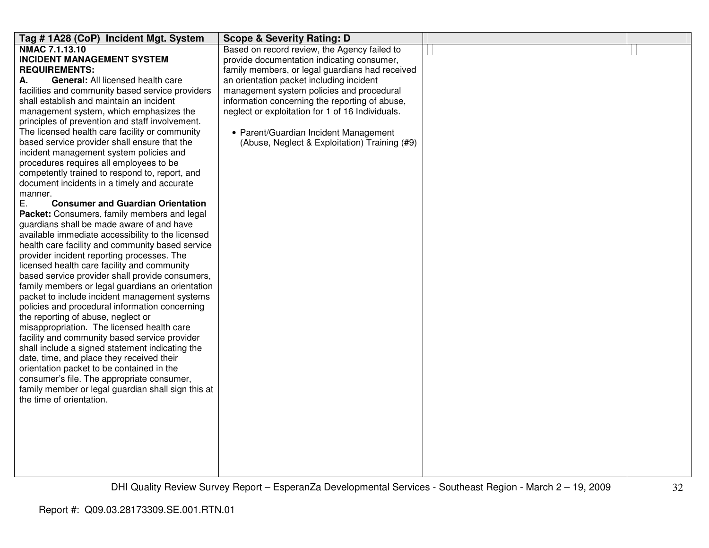| Tag #1A28 (CoP) Incident Mgt. System                      | <b>Scope &amp; Severity Rating: D</b>            |  |
|-----------------------------------------------------------|--------------------------------------------------|--|
| <b>NMAC 7.1.13.10</b>                                     | Based on record review, the Agency failed to     |  |
| <b>INCIDENT MANAGEMENT SYSTEM</b>                         | provide documentation indicating consumer,       |  |
| <b>REQUIREMENTS:</b>                                      | family members, or legal guardians had received  |  |
| General: All licensed health care<br>А.                   | an orientation packet including incident         |  |
| facilities and community based service providers          | management system policies and procedural        |  |
| shall establish and maintain an incident                  | information concerning the reporting of abuse,   |  |
| management system, which emphasizes the                   | neglect or exploitation for 1 of 16 Individuals. |  |
| principles of prevention and staff involvement.           |                                                  |  |
| The licensed health care facility or community            | • Parent/Guardian Incident Management            |  |
| based service provider shall ensure that the              | (Abuse, Neglect & Exploitation) Training (#9)    |  |
| incident management system policies and                   |                                                  |  |
| procedures requires all employees to be                   |                                                  |  |
| competently trained to respond to, report, and            |                                                  |  |
| document incidents in a timely and accurate               |                                                  |  |
| manner.<br>Е.<br><b>Consumer and Guardian Orientation</b> |                                                  |  |
| Packet: Consumers, family members and legal               |                                                  |  |
| guardians shall be made aware of and have                 |                                                  |  |
| available immediate accessibility to the licensed         |                                                  |  |
| health care facility and community based service          |                                                  |  |
| provider incident reporting processes. The                |                                                  |  |
| licensed health care facility and community               |                                                  |  |
| based service provider shall provide consumers,           |                                                  |  |
| family members or legal guardians an orientation          |                                                  |  |
| packet to include incident management systems             |                                                  |  |
| policies and procedural information concerning            |                                                  |  |
| the reporting of abuse, neglect or                        |                                                  |  |
| misappropriation. The licensed health care                |                                                  |  |
| facility and community based service provider             |                                                  |  |
| shall include a signed statement indicating the           |                                                  |  |
| date, time, and place they received their                 |                                                  |  |
| orientation packet to be contained in the                 |                                                  |  |
| consumer's file. The appropriate consumer,                |                                                  |  |
| family member or legal guardian shall sign this at        |                                                  |  |
| the time of orientation.                                  |                                                  |  |
|                                                           |                                                  |  |
|                                                           |                                                  |  |
|                                                           |                                                  |  |
|                                                           |                                                  |  |
|                                                           |                                                  |  |
|                                                           |                                                  |  |
|                                                           |                                                  |  |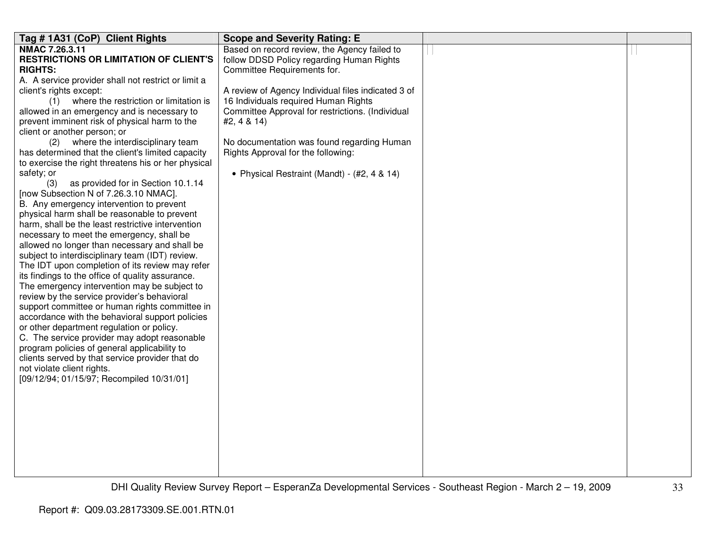| Tag # 1A31 (CoP) Client Rights                                                             | <b>Scope and Severity Rating: E</b>                |  |
|--------------------------------------------------------------------------------------------|----------------------------------------------------|--|
| NMAC 7.26.3.11                                                                             | Based on record review, the Agency failed to       |  |
| <b>RESTRICTIONS OR LIMITATION OF CLIENT'S</b>                                              | follow DDSD Policy regarding Human Rights          |  |
| <b>RIGHTS:</b>                                                                             | Committee Requirements for.                        |  |
| A. A service provider shall not restrict or limit a                                        |                                                    |  |
| client's rights except:                                                                    | A review of Agency Individual files indicated 3 of |  |
| (1) where the restriction or limitation is                                                 | 16 Individuals required Human Rights               |  |
| allowed in an emergency and is necessary to                                                | Committee Approval for restrictions. (Individual   |  |
| prevent imminent risk of physical harm to the                                              | #2, 4 & 14)                                        |  |
| client or another person; or                                                               |                                                    |  |
| where the interdisciplinary team<br>(2)                                                    | No documentation was found regarding Human         |  |
| has determined that the client's limited capacity                                          | Rights Approval for the following:                 |  |
| to exercise the right threatens his or her physical                                        |                                                    |  |
| safety; or                                                                                 | • Physical Restraint (Mandt) - (#2, 4 & 14)        |  |
| as provided for in Section 10.1.14<br>(3)                                                  |                                                    |  |
| [now Subsection N of 7.26.3.10 NMAC].                                                      |                                                    |  |
| B. Any emergency intervention to prevent                                                   |                                                    |  |
| physical harm shall be reasonable to prevent                                               |                                                    |  |
| harm, shall be the least restrictive intervention                                          |                                                    |  |
| necessary to meet the emergency, shall be<br>allowed no longer than necessary and shall be |                                                    |  |
| subject to interdisciplinary team (IDT) review.                                            |                                                    |  |
| The IDT upon completion of its review may refer                                            |                                                    |  |
| its findings to the office of quality assurance.                                           |                                                    |  |
| The emergency intervention may be subject to                                               |                                                    |  |
| review by the service provider's behavioral                                                |                                                    |  |
| support committee or human rights committee in                                             |                                                    |  |
| accordance with the behavioral support policies                                            |                                                    |  |
| or other department regulation or policy.                                                  |                                                    |  |
| C. The service provider may adopt reasonable                                               |                                                    |  |
| program policies of general applicability to                                               |                                                    |  |
| clients served by that service provider that do                                            |                                                    |  |
| not violate client rights.                                                                 |                                                    |  |
| [09/12/94; 01/15/97; Recompiled 10/31/01]                                                  |                                                    |  |
|                                                                                            |                                                    |  |
|                                                                                            |                                                    |  |
|                                                                                            |                                                    |  |
|                                                                                            |                                                    |  |
|                                                                                            |                                                    |  |
|                                                                                            |                                                    |  |
|                                                                                            |                                                    |  |
|                                                                                            |                                                    |  |
|                                                                                            |                                                    |  |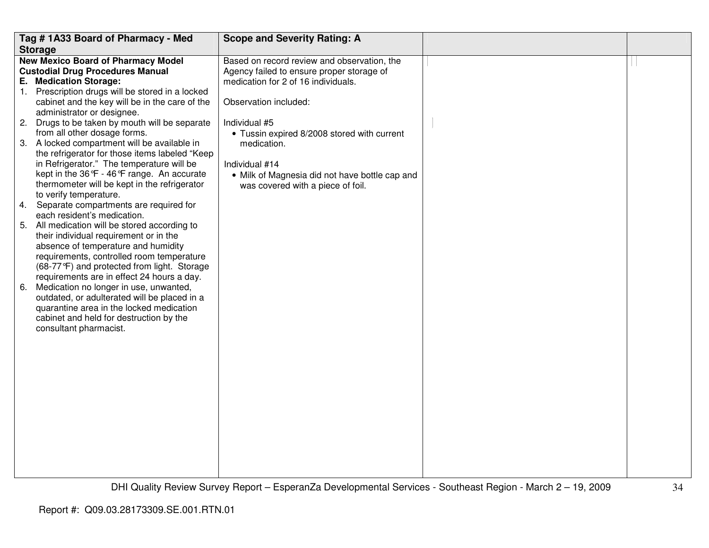|    | Tag #1A33 Board of Pharmacy - Med                                                       | <b>Scope and Severity Rating: A</b>                                                      |  |
|----|-----------------------------------------------------------------------------------------|------------------------------------------------------------------------------------------|--|
|    | <b>Storage</b>                                                                          |                                                                                          |  |
|    | <b>New Mexico Board of Pharmacy Model</b><br><b>Custodial Drug Procedures Manual</b>    | Based on record review and observation, the<br>Agency failed to ensure proper storage of |  |
|    | E. Medication Storage:                                                                  | medication for 2 of 16 individuals.                                                      |  |
|    | 1. Prescription drugs will be stored in a locked                                        |                                                                                          |  |
|    | cabinet and the key will be in the care of the                                          | Observation included:                                                                    |  |
|    | administrator or designee.                                                              |                                                                                          |  |
| 2. | Drugs to be taken by mouth will be separate<br>from all other dosage forms.             | Individual #5                                                                            |  |
|    | 3. A locked compartment will be available in                                            | • Tussin expired 8/2008 stored with current<br>medication.                               |  |
|    | the refrigerator for those items labeled "Keep                                          |                                                                                          |  |
|    | in Refrigerator." The temperature will be                                               | Individual #14                                                                           |  |
|    | kept in the 36°F - 46°F range. An accurate                                              | • Milk of Magnesia did not have bottle cap and                                           |  |
|    | thermometer will be kept in the refrigerator                                            | was covered with a piece of foil.                                                        |  |
|    | to verify temperature.                                                                  |                                                                                          |  |
| 4. | Separate compartments are required for                                                  |                                                                                          |  |
|    | each resident's medication.                                                             |                                                                                          |  |
|    | 5. All medication will be stored according to<br>their individual requirement or in the |                                                                                          |  |
|    | absence of temperature and humidity                                                     |                                                                                          |  |
|    | requirements, controlled room temperature                                               |                                                                                          |  |
|    | (68-77°F) and protected from light. Storage                                             |                                                                                          |  |
|    | requirements are in effect 24 hours a day.                                              |                                                                                          |  |
| 6. | Medication no longer in use, unwanted,                                                  |                                                                                          |  |
|    | outdated, or adulterated will be placed in a                                            |                                                                                          |  |
|    | quarantine area in the locked medication                                                |                                                                                          |  |
|    | cabinet and held for destruction by the                                                 |                                                                                          |  |
|    | consultant pharmacist.                                                                  |                                                                                          |  |
|    |                                                                                         |                                                                                          |  |
|    |                                                                                         |                                                                                          |  |
|    |                                                                                         |                                                                                          |  |
|    |                                                                                         |                                                                                          |  |
|    |                                                                                         |                                                                                          |  |
|    |                                                                                         |                                                                                          |  |
|    |                                                                                         |                                                                                          |  |
|    |                                                                                         |                                                                                          |  |
|    |                                                                                         |                                                                                          |  |
|    |                                                                                         |                                                                                          |  |
|    |                                                                                         |                                                                                          |  |
|    |                                                                                         |                                                                                          |  |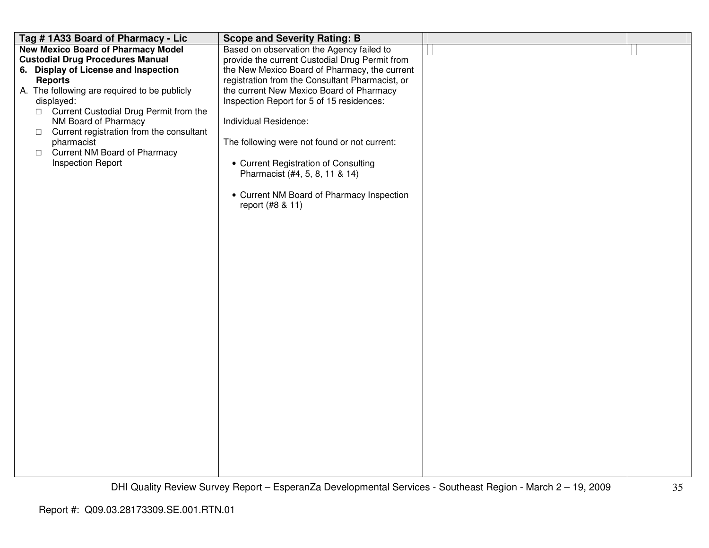| Tag #1A33 Board of Pharmacy - Lic                                                                                                                                                                                                                                                                                                                                                                                  | <b>Scope and Severity Rating: B</b>                                                                                                                                                                                                                                                                                                                                                                                                                                                                          |  |
|--------------------------------------------------------------------------------------------------------------------------------------------------------------------------------------------------------------------------------------------------------------------------------------------------------------------------------------------------------------------------------------------------------------------|--------------------------------------------------------------------------------------------------------------------------------------------------------------------------------------------------------------------------------------------------------------------------------------------------------------------------------------------------------------------------------------------------------------------------------------------------------------------------------------------------------------|--|
| <b>New Mexico Board of Pharmacy Model</b><br><b>Custodial Drug Procedures Manual</b><br>6. Display of License and Inspection<br><b>Reports</b><br>A. The following are required to be publicly<br>displayed:<br>□ Current Custodial Drug Permit from the<br>NM Board of Pharmacy<br>Current registration from the consultant<br>$\Box$<br>pharmacist<br>□ Current NM Board of Pharmacy<br><b>Inspection Report</b> | Based on observation the Agency failed to<br>provide the current Custodial Drug Permit from<br>the New Mexico Board of Pharmacy, the current<br>registration from the Consultant Pharmacist, or<br>the current New Mexico Board of Pharmacy<br>Inspection Report for 5 of 15 residences:<br>Individual Residence:<br>The following were not found or not current:<br>• Current Registration of Consulting<br>Pharmacist (#4, 5, 8, 11 & 14)<br>• Current NM Board of Pharmacy Inspection<br>report (#8 & 11) |  |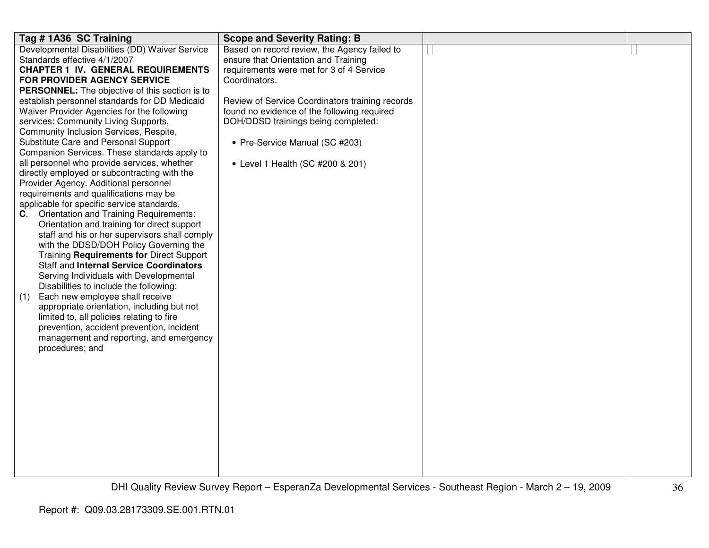| Tag # 1A36 SC Training                                                                       | <b>Scope and Severity Rating: B</b>             |  |
|----------------------------------------------------------------------------------------------|-------------------------------------------------|--|
| Developmental Disabilities (DD) Waiver Service                                               | Based on record review, the Agency failed to    |  |
| Standards effective 4/1/2007                                                                 | ensure that Orientation and Training            |  |
| <b>CHAPTER 1 IV. GENERAL REQUIREMENTS</b>                                                    | requirements were met for 3 of 4 Service        |  |
| FOR PROVIDER AGENCY SERVICE                                                                  | Coordinators.                                   |  |
| <b>PERSONNEL:</b> The objective of this section is to                                        |                                                 |  |
| establish personnel standards for DD Medicaid                                                | Review of Service Coordinators training records |  |
| Waiver Provider Agencies for the following                                                   | found no evidence of the following required     |  |
| services: Community Living Supports,                                                         | DOH/DDSD trainings being completed:             |  |
| Community Inclusion Services, Respite,                                                       |                                                 |  |
| Substitute Care and Personal Support                                                         | • Pre-Service Manual (SC #203)                  |  |
| Companion Services. These standards apply to                                                 |                                                 |  |
| all personnel who provide services, whether                                                  | • Level 1 Health (SC #200 & 201)                |  |
| directly employed or subcontracting with the                                                 |                                                 |  |
| Provider Agency. Additional personnel                                                        |                                                 |  |
| requirements and qualifications may be                                                       |                                                 |  |
| applicable for specific service standards.                                                   |                                                 |  |
| C. Orientation and Training Requirements:                                                    |                                                 |  |
| Orientation and training for direct support<br>staff and his or her supervisors shall comply |                                                 |  |
| with the DDSD/DOH Policy Governing the                                                       |                                                 |  |
| Training Requirements for Direct Support                                                     |                                                 |  |
| <b>Staff and Internal Service Coordinators</b>                                               |                                                 |  |
| Serving Individuals with Developmental                                                       |                                                 |  |
| Disabilities to include the following:                                                       |                                                 |  |
| Each new employee shall receive<br>(1)                                                       |                                                 |  |
| appropriate orientation, including but not                                                   |                                                 |  |
| limited to, all policies relating to fire                                                    |                                                 |  |
| prevention, accident prevention, incident                                                    |                                                 |  |
| management and reporting, and emergency                                                      |                                                 |  |
| procedures; and                                                                              |                                                 |  |
|                                                                                              |                                                 |  |
|                                                                                              |                                                 |  |
|                                                                                              |                                                 |  |
|                                                                                              |                                                 |  |
|                                                                                              |                                                 |  |
|                                                                                              |                                                 |  |
|                                                                                              |                                                 |  |
|                                                                                              |                                                 |  |
|                                                                                              |                                                 |  |
|                                                                                              |                                                 |  |
|                                                                                              |                                                 |  |
|                                                                                              |                                                 |  |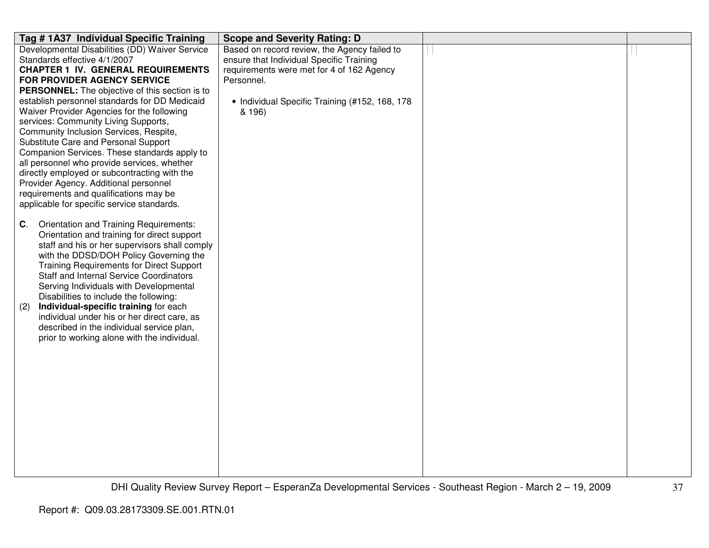| Tag # 1A37 Individual Specific Training                                              | <b>Scope and Severity Rating: D</b>            |  |
|--------------------------------------------------------------------------------------|------------------------------------------------|--|
| Developmental Disabilities (DD) Waiver Service                                       | Based on record review, the Agency failed to   |  |
| Standards effective 4/1/2007                                                         | ensure that Individual Specific Training       |  |
| <b>CHAPTER 1 IV. GENERAL REQUIREMENTS</b>                                            | requirements were met for 4 of 162 Agency      |  |
| FOR PROVIDER AGENCY SERVICE                                                          | Personnel.                                     |  |
| <b>PERSONNEL:</b> The objective of this section is to                                |                                                |  |
| establish personnel standards for DD Medicaid                                        | • Individual Specific Training (#152, 168, 178 |  |
| Waiver Provider Agencies for the following                                           | & 196)                                         |  |
| services: Community Living Supports,                                                 |                                                |  |
| Community Inclusion Services, Respite,                                               |                                                |  |
| Substitute Care and Personal Support<br>Companion Services. These standards apply to |                                                |  |
| all personnel who provide services, whether                                          |                                                |  |
| directly employed or subcontracting with the                                         |                                                |  |
| Provider Agency. Additional personnel                                                |                                                |  |
| requirements and qualifications may be                                               |                                                |  |
| applicable for specific service standards.                                           |                                                |  |
|                                                                                      |                                                |  |
| <b>Orientation and Training Requirements:</b><br>C.                                  |                                                |  |
| Orientation and training for direct support                                          |                                                |  |
| staff and his or her supervisors shall comply                                        |                                                |  |
| with the DDSD/DOH Policy Governing the                                               |                                                |  |
| <b>Training Requirements for Direct Support</b>                                      |                                                |  |
| <b>Staff and Internal Service Coordinators</b>                                       |                                                |  |
| Serving Individuals with Developmental                                               |                                                |  |
| Disabilities to include the following:                                               |                                                |  |
| Individual-specific training for each<br>(2)                                         |                                                |  |
| individual under his or her direct care, as                                          |                                                |  |
| described in the individual service plan,                                            |                                                |  |
| prior to working alone with the individual.                                          |                                                |  |
|                                                                                      |                                                |  |
|                                                                                      |                                                |  |
|                                                                                      |                                                |  |
|                                                                                      |                                                |  |
|                                                                                      |                                                |  |
|                                                                                      |                                                |  |
|                                                                                      |                                                |  |
|                                                                                      |                                                |  |
|                                                                                      |                                                |  |
|                                                                                      |                                                |  |
|                                                                                      |                                                |  |
|                                                                                      |                                                |  |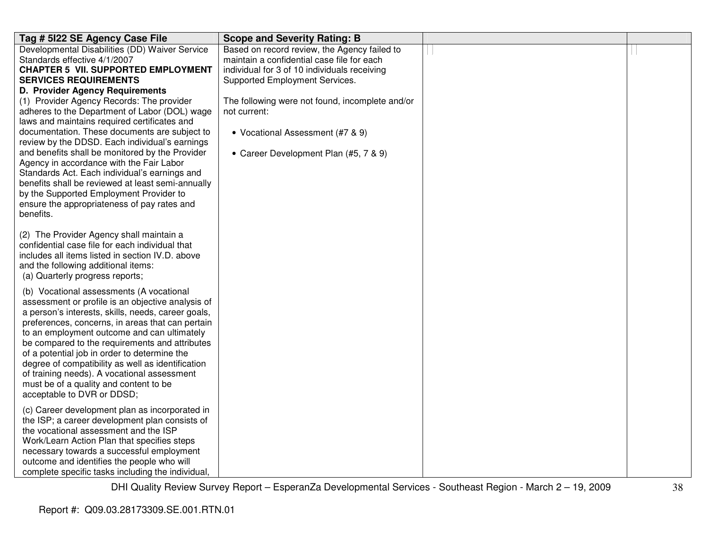| Tag # 5122 SE Agency Case File                                                                                                                                                                                                                                                                                                                                                                                                                                                                                                                                                                   | <b>Scope and Severity Rating: B</b>                                                                                                                                                                                                                                                                                          |  |
|--------------------------------------------------------------------------------------------------------------------------------------------------------------------------------------------------------------------------------------------------------------------------------------------------------------------------------------------------------------------------------------------------------------------------------------------------------------------------------------------------------------------------------------------------------------------------------------------------|------------------------------------------------------------------------------------------------------------------------------------------------------------------------------------------------------------------------------------------------------------------------------------------------------------------------------|--|
| Developmental Disabilities (DD) Waiver Service<br>Standards effective 4/1/2007<br><b>CHAPTER 5 VII. SUPPORTED EMPLOYMENT</b><br><b>SERVICES REQUIREMENTS</b><br>D. Provider Agency Requirements<br>(1) Provider Agency Records: The provider<br>adheres to the Department of Labor (DOL) wage<br>laws and maintains required certificates and<br>documentation. These documents are subject to<br>review by the DDSD. Each individual's earnings<br>and benefits shall be monitored by the Provider<br>Agency in accordance with the Fair Labor<br>Standards Act. Each individual's earnings and | Based on record review, the Agency failed to<br>maintain a confidential case file for each<br>individual for 3 of 10 individuals receiving<br>Supported Employment Services.<br>The following were not found, incomplete and/or<br>not current:<br>• Vocational Assessment (#7 & 9)<br>• Career Development Plan (#5, 7 & 9) |  |
| benefits shall be reviewed at least semi-annually<br>by the Supported Employment Provider to<br>ensure the appropriateness of pay rates and<br>benefits.                                                                                                                                                                                                                                                                                                                                                                                                                                         |                                                                                                                                                                                                                                                                                                                              |  |
| (2) The Provider Agency shall maintain a<br>confidential case file for each individual that<br>includes all items listed in section IV.D. above<br>and the following additional items:<br>(a) Quarterly progress reports;                                                                                                                                                                                                                                                                                                                                                                        |                                                                                                                                                                                                                                                                                                                              |  |
| (b) Vocational assessments (A vocational<br>assessment or profile is an objective analysis of<br>a person's interests, skills, needs, career goals,<br>preferences, concerns, in areas that can pertain<br>to an employment outcome and can ultimately<br>be compared to the requirements and attributes<br>of a potential job in order to determine the<br>degree of compatibility as well as identification<br>of training needs). A vocational assessment<br>must be of a quality and content to be<br>acceptable to DVR or DDSD;                                                             |                                                                                                                                                                                                                                                                                                                              |  |
| (c) Career development plan as incorporated in<br>the ISP; a career development plan consists of<br>the vocational assessment and the ISP<br>Work/Learn Action Plan that specifies steps<br>necessary towards a successful employment<br>outcome and identifies the people who will<br>complete specific tasks including the individual,                                                                                                                                                                                                                                                         |                                                                                                                                                                                                                                                                                                                              |  |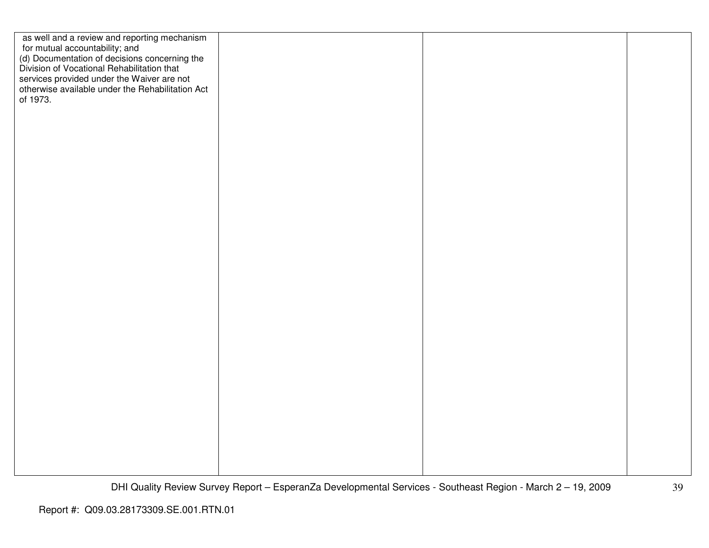| as well and a review and reporting mechanism<br>for mutual accountability; and<br>(d) Documentation of decisions concerning the<br>Division of Vocational Rehabilitation that |  |  |
|-------------------------------------------------------------------------------------------------------------------------------------------------------------------------------|--|--|
|                                                                                                                                                                               |  |  |
| services provided under the Waiver are not<br>otherwise available under the Rehabilitation Act<br>of 1973.                                                                    |  |  |
|                                                                                                                                                                               |  |  |
|                                                                                                                                                                               |  |  |
|                                                                                                                                                                               |  |  |
|                                                                                                                                                                               |  |  |
|                                                                                                                                                                               |  |  |
|                                                                                                                                                                               |  |  |
|                                                                                                                                                                               |  |  |
|                                                                                                                                                                               |  |  |
|                                                                                                                                                                               |  |  |
|                                                                                                                                                                               |  |  |
|                                                                                                                                                                               |  |  |
|                                                                                                                                                                               |  |  |
|                                                                                                                                                                               |  |  |
|                                                                                                                                                                               |  |  |
|                                                                                                                                                                               |  |  |
|                                                                                                                                                                               |  |  |
|                                                                                                                                                                               |  |  |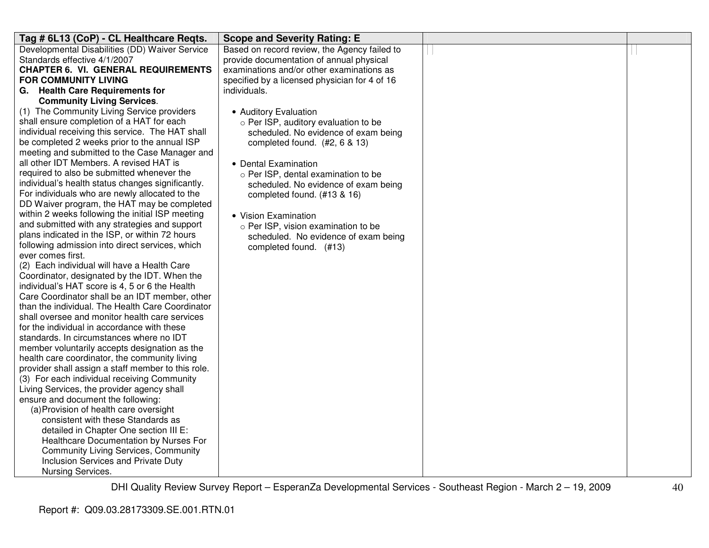| Tag # 6L13 (CoP) - CL Healthcare Reqts.                                                         | <b>Scope and Severity Rating: E</b>           |  |
|-------------------------------------------------------------------------------------------------|-----------------------------------------------|--|
| Developmental Disabilities (DD) Waiver Service                                                  | Based on record review, the Agency failed to  |  |
| Standards effective 4/1/2007                                                                    | provide documentation of annual physical      |  |
| <b>CHAPTER 6. VI. GENERAL REQUIREMENTS</b>                                                      | examinations and/or other examinations as     |  |
| <b>FOR COMMUNITY LIVING</b>                                                                     | specified by a licensed physician for 4 of 16 |  |
| G. Health Care Requirements for                                                                 | individuals.                                  |  |
| <b>Community Living Services.</b>                                                               |                                               |  |
| (1) The Community Living Service providers                                                      | • Auditory Evaluation                         |  |
| shall ensure completion of a HAT for each                                                       | o Per ISP, auditory evaluation to be          |  |
| individual receiving this service. The HAT shall                                                | scheduled. No evidence of exam being          |  |
| be completed 2 weeks prior to the annual ISP                                                    | completed found. (#2, 6 & 13)                 |  |
| meeting and submitted to the Case Manager and                                                   |                                               |  |
| all other IDT Members. A revised HAT is                                                         | • Dental Examination                          |  |
| required to also be submitted whenever the                                                      | o Per ISP, dental examination to be           |  |
| individual's health status changes significantly.                                               | scheduled. No evidence of exam being          |  |
| For individuals who are newly allocated to the                                                  | completed found. (#13 & 16)                   |  |
| DD Waiver program, the HAT may be completed                                                     |                                               |  |
| within 2 weeks following the initial ISP meeting                                                | • Vision Examination                          |  |
| and submitted with any strategies and support<br>plans indicated in the ISP, or within 72 hours | $\circ$ Per ISP, vision examination to be     |  |
| following admission into direct services, which                                                 | scheduled. No evidence of exam being          |  |
| ever comes first.                                                                               | completed found. (#13)                        |  |
| (2) Each individual will have a Health Care                                                     |                                               |  |
| Coordinator, designated by the IDT. When the                                                    |                                               |  |
| individual's HAT score is 4, 5 or 6 the Health                                                  |                                               |  |
| Care Coordinator shall be an IDT member, other                                                  |                                               |  |
| than the individual. The Health Care Coordinator                                                |                                               |  |
| shall oversee and monitor health care services                                                  |                                               |  |
| for the individual in accordance with these                                                     |                                               |  |
| standards. In circumstances where no IDT                                                        |                                               |  |
| member voluntarily accepts designation as the                                                   |                                               |  |
| health care coordinator, the community living                                                   |                                               |  |
| provider shall assign a staff member to this role.                                              |                                               |  |
| (3) For each individual receiving Community                                                     |                                               |  |
| Living Services, the provider agency shall                                                      |                                               |  |
| ensure and document the following:                                                              |                                               |  |
| (a) Provision of health care oversight                                                          |                                               |  |
| consistent with these Standards as                                                              |                                               |  |
| detailed in Chapter One section III E:                                                          |                                               |  |
| Healthcare Documentation by Nurses For                                                          |                                               |  |
| <b>Community Living Services, Community</b>                                                     |                                               |  |
| Inclusion Services and Private Duty                                                             |                                               |  |
| Nursing Services.                                                                               |                                               |  |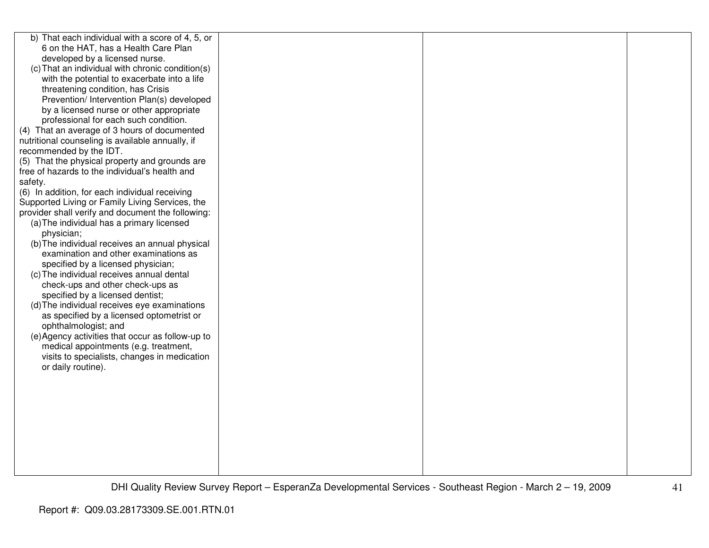| b) That each individual with a score of 4, 5, or  |  |  |
|---------------------------------------------------|--|--|
| 6 on the HAT, has a Health Care Plan              |  |  |
| developed by a licensed nurse.                    |  |  |
| (c) That an individual with chronic condition(s)  |  |  |
| with the potential to exacerbate into a life      |  |  |
| threatening condition, has Crisis                 |  |  |
| Prevention/ Intervention Plan(s) developed        |  |  |
| by a licensed nurse or other appropriate          |  |  |
| professional for each such condition.             |  |  |
| (4) That an average of 3 hours of documented      |  |  |
| nutritional counseling is available annually, if  |  |  |
| recommended by the IDT.                           |  |  |
| (5) That the physical property and grounds are    |  |  |
| free of hazards to the individual's health and    |  |  |
| safety.                                           |  |  |
| (6) In addition, for each individual receiving    |  |  |
| Supported Living or Family Living Services, the   |  |  |
| provider shall verify and document the following: |  |  |
| (a) The individual has a primary licensed         |  |  |
| physician;                                        |  |  |
| (b) The individual receives an annual physical    |  |  |
| examination and other examinations as             |  |  |
| specified by a licensed physician;                |  |  |
| (c) The individual receives annual dental         |  |  |
| check-ups and other check-ups as                  |  |  |
| specified by a licensed dentist;                  |  |  |
| (d) The individual receives eye examinations      |  |  |
| as specified by a licensed optometrist or         |  |  |
| ophthalmologist; and                              |  |  |
| (e) Agency activities that occur as follow-up to  |  |  |
| medical appointments (e.g. treatment,             |  |  |
| visits to specialists, changes in medication      |  |  |
| or daily routine).                                |  |  |
|                                                   |  |  |
|                                                   |  |  |
|                                                   |  |  |
|                                                   |  |  |
|                                                   |  |  |
|                                                   |  |  |
|                                                   |  |  |
|                                                   |  |  |
|                                                   |  |  |
|                                                   |  |  |
|                                                   |  |  |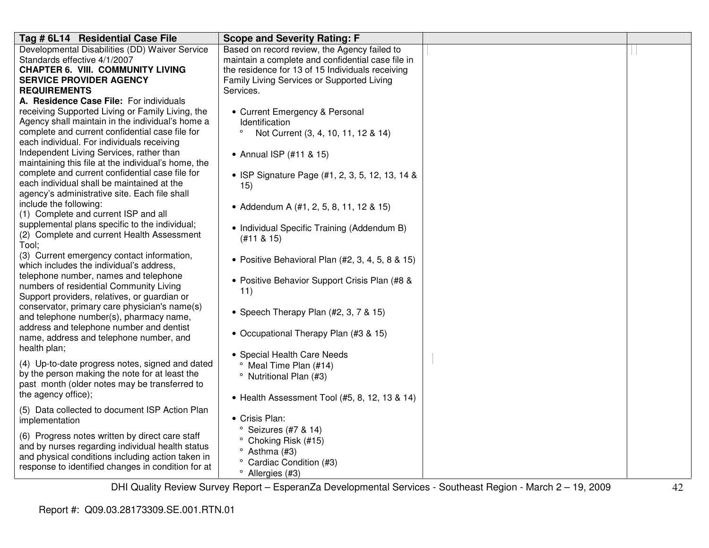| Tag # 6L14 Residential Case File                    | <b>Scope and Severity Rating: F</b>               |  |
|-----------------------------------------------------|---------------------------------------------------|--|
| Developmental Disabilities (DD) Waiver Service      | Based on record review, the Agency failed to      |  |
| Standards effective 4/1/2007                        | maintain a complete and confidential case file in |  |
| <b>CHAPTER 6. VIII. COMMUNITY LIVING</b>            | the residence for 13 of 15 Individuals receiving  |  |
| <b>SERVICE PROVIDER AGENCY</b>                      | Family Living Services or Supported Living        |  |
| <b>REQUIREMENTS</b>                                 | Services.                                         |  |
| A. Residence Case File: For individuals             |                                                   |  |
| receiving Supported Living or Family Living, the    | • Current Emergency & Personal                    |  |
| Agency shall maintain in the individual's home a    | Identification                                    |  |
| complete and current confidential case file for     | $\circ$<br>Not Current (3, 4, 10, 11, 12 & 14)    |  |
| each individual. For individuals receiving          |                                                   |  |
| Independent Living Services, rather than            | • Annual ISP (#11 & 15)                           |  |
| maintaining this file at the individual's home, the |                                                   |  |
| complete and current confidential case file for     | • ISP Signature Page (#1, 2, 3, 5, 12, 13, 14 &   |  |
| each individual shall be maintained at the          | 15)                                               |  |
| agency's administrative site. Each file shall       |                                                   |  |
| include the following:                              | • Addendum A (#1, 2, 5, 8, 11, 12 & 15)           |  |
| (1) Complete and current ISP and all                |                                                   |  |
| supplemental plans specific to the individual;      | • Individual Specific Training (Addendum B)       |  |
| (2) Complete and current Health Assessment<br>Tool; | (H11 & 815)                                       |  |
| (3) Current emergency contact information,          |                                                   |  |
| which includes the individual's address.            | • Positive Behavioral Plan (#2, 3, 4, 5, 8 & 15)  |  |
| telephone number, names and telephone               |                                                   |  |
| numbers of residential Community Living             | • Positive Behavior Support Crisis Plan (#8 &     |  |
| Support providers, relatives, or guardian or        | 11)                                               |  |
| conservator, primary care physician's name(s)       |                                                   |  |
| and telephone number(s), pharmacy name,             | • Speech Therapy Plan (#2, 3, 7 & 15)             |  |
| address and telephone number and dentist            |                                                   |  |
| name, address and telephone number, and             | • Occupational Therapy Plan (#3 & 15)             |  |
| health plan;                                        |                                                   |  |
|                                                     | • Special Health Care Needs                       |  |
| (4) Up-to-date progress notes, signed and dated     | <sup>o</sup> Meal Time Plan (#14)                 |  |
| by the person making the note for at least the      | <sup>o</sup> Nutritional Plan (#3)                |  |
| past month (older notes may be transferred to       |                                                   |  |
| the agency office);                                 | • Health Assessment Tool (#5, 8, 12, 13 & 14)     |  |
| (5) Data collected to document ISP Action Plan      |                                                   |  |
| implementation                                      | • Crisis Plan:                                    |  |
| (6) Progress notes written by direct care staff     | $\degree$ Seizures (#7 & 14)                      |  |
| and by nurses regarding individual health status    | ° Choking Risk (#15)                              |  |
| and physical conditions including action taken in   | $\degree$ Asthma (#3)                             |  |
| response to identified changes in condition for at  | ° Cardiac Condition (#3)                          |  |
|                                                     | <sup>o</sup> Allergies (#3)                       |  |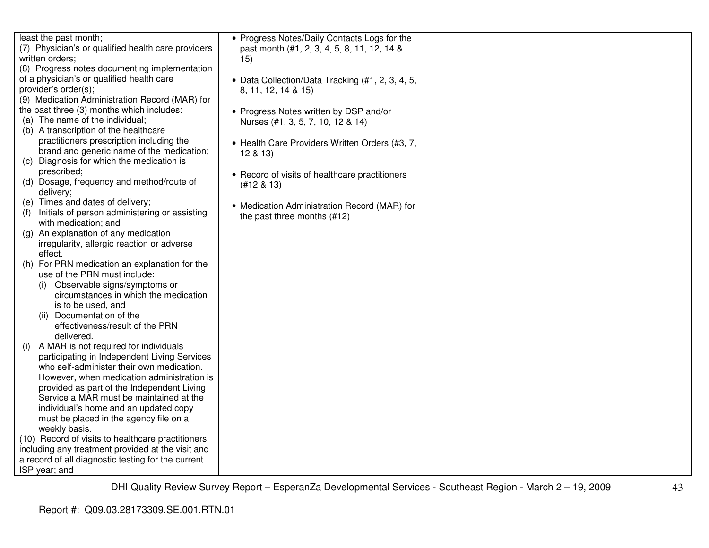| least the past month;                              | • Progress Notes/Daily Contacts Logs for the     |  |
|----------------------------------------------------|--------------------------------------------------|--|
| (7) Physician's or qualified health care providers | past month (#1, 2, 3, 4, 5, 8, 11, 12, 14 &      |  |
| written orders;                                    | 15)                                              |  |
| (8) Progress notes documenting implementation      |                                                  |  |
| of a physician's or qualified health care          |                                                  |  |
|                                                    | • Data Collection/Data Tracking (#1, 2, 3, 4, 5, |  |
| provider's order(s);                               | 8, 11, 12, 14 & 15)                              |  |
| (9) Medication Administration Record (MAR) for     |                                                  |  |
| the past three (3) months which includes:          | • Progress Notes written by DSP and/or           |  |
| (a) The name of the individual;                    | Nurses (#1, 3, 5, 7, 10, 12 & 14)                |  |
| (b) A transcription of the healthcare              |                                                  |  |
| practitioners prescription including the           | • Health Care Providers Written Orders (#3, 7,   |  |
| brand and generic name of the medication;          | 12 & 13                                          |  |
| (c) Diagnosis for which the medication is          |                                                  |  |
| prescribed;                                        | • Record of visits of healthcare practitioners   |  |
| (d) Dosage, frequency and method/route of          | $(#12 \& 13)$                                    |  |
| delivery;                                          |                                                  |  |
| (e) Times and dates of delivery;                   | • Medication Administration Record (MAR) for     |  |
| Initials of person administering or assisting      |                                                  |  |
| with medication; and                               | the past three months (#12)                      |  |
| An explanation of any medication<br>(q)            |                                                  |  |
| irregularity, allergic reaction or adverse         |                                                  |  |
| effect.                                            |                                                  |  |
| (h) For PRN medication an explanation for the      |                                                  |  |
| use of the PRN must include:                       |                                                  |  |
| Observable signs/symptoms or                       |                                                  |  |
| circumstances in which the medication              |                                                  |  |
|                                                    |                                                  |  |
| is to be used, and                                 |                                                  |  |
| (ii) Documentation of the                          |                                                  |  |
| effectiveness/result of the PRN                    |                                                  |  |
| delivered.                                         |                                                  |  |
| A MAR is not required for individuals<br>(1)       |                                                  |  |
| participating in Independent Living Services       |                                                  |  |
| who self-administer their own medication.          |                                                  |  |
| However, when medication administration is         |                                                  |  |
| provided as part of the Independent Living         |                                                  |  |
| Service a MAR must be maintained at the            |                                                  |  |
| individual's home and an updated copy              |                                                  |  |
| must be placed in the agency file on a             |                                                  |  |
| weekly basis.                                      |                                                  |  |
| (10) Record of visits to healthcare practitioners  |                                                  |  |
| including any treatment provided at the visit and  |                                                  |  |
| a record of all diagnostic testing for the current |                                                  |  |
| ISP year; and                                      |                                                  |  |
|                                                    |                                                  |  |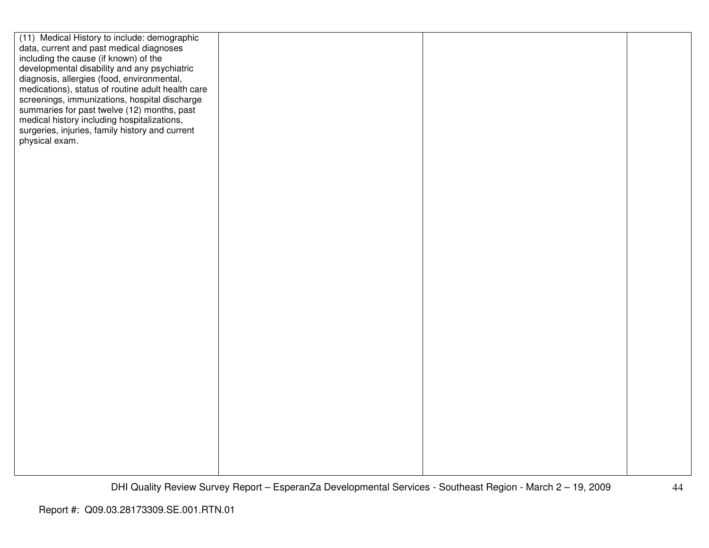| (11) Medical History to include: demographic      |  |  |
|---------------------------------------------------|--|--|
| data, current and past medical diagnoses          |  |  |
| including the cause (if known) of the             |  |  |
| developmental disability and any psychiatric      |  |  |
| diagnosis, allergies (food, environmental,        |  |  |
| medications), status of routine adult health care |  |  |
| screenings, immunizations, hospital discharge     |  |  |
| summaries for past twelve (12) months, past       |  |  |
| medical history including hospitalizations,       |  |  |
| surgeries, injuries, family history and current   |  |  |
| physical exam.                                    |  |  |
|                                                   |  |  |
|                                                   |  |  |
|                                                   |  |  |
|                                                   |  |  |
|                                                   |  |  |
|                                                   |  |  |
|                                                   |  |  |
|                                                   |  |  |
|                                                   |  |  |
|                                                   |  |  |
|                                                   |  |  |
|                                                   |  |  |
|                                                   |  |  |
|                                                   |  |  |
|                                                   |  |  |
|                                                   |  |  |
|                                                   |  |  |
|                                                   |  |  |
|                                                   |  |  |
|                                                   |  |  |
|                                                   |  |  |
|                                                   |  |  |
|                                                   |  |  |
|                                                   |  |  |
|                                                   |  |  |
|                                                   |  |  |
|                                                   |  |  |
|                                                   |  |  |
|                                                   |  |  |
|                                                   |  |  |
|                                                   |  |  |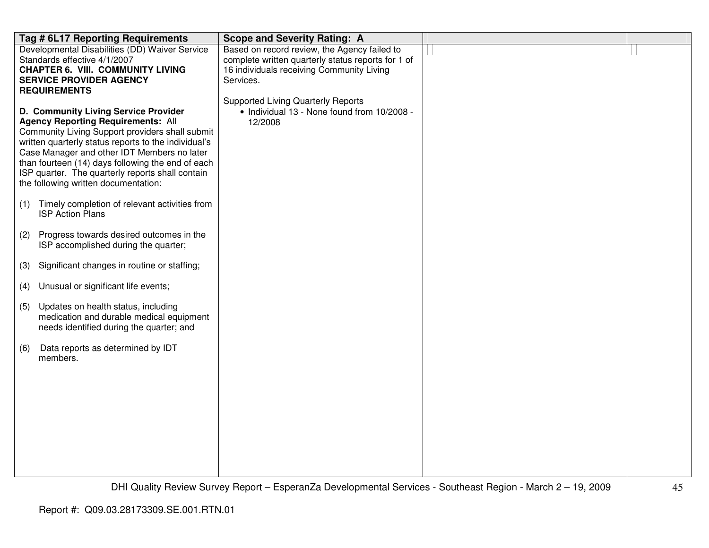|     | Tag # 6L17 Reporting Requirements                                                            | <b>Scope and Severity Rating: A</b>                                                             |  |
|-----|----------------------------------------------------------------------------------------------|-------------------------------------------------------------------------------------------------|--|
|     | Developmental Disabilities (DD) Waiver Service                                               | Based on record review, the Agency failed to                                                    |  |
|     | Standards effective 4/1/2007<br><b>CHAPTER 6. VIII. COMMUNITY LIVING</b>                     | complete written quarterly status reports for 1 of<br>16 individuals receiving Community Living |  |
|     | <b>SERVICE PROVIDER AGENCY</b>                                                               | Services.                                                                                       |  |
|     | <b>REQUIREMENTS</b>                                                                          |                                                                                                 |  |
|     |                                                                                              | <b>Supported Living Quarterly Reports</b>                                                       |  |
|     | D. Community Living Service Provider                                                         | • Individual 13 - None found from 10/2008 -                                                     |  |
|     | <b>Agency Reporting Requirements: All</b><br>Community Living Support providers shall submit | 12/2008                                                                                         |  |
|     | written quarterly status reports to the individual's                                         |                                                                                                 |  |
|     | Case Manager and other IDT Members no later                                                  |                                                                                                 |  |
|     | than fourteen (14) days following the end of each                                            |                                                                                                 |  |
|     | ISP quarter. The quarterly reports shall contain<br>the following written documentation:     |                                                                                                 |  |
|     |                                                                                              |                                                                                                 |  |
| (1) | Timely completion of relevant activities from                                                |                                                                                                 |  |
|     | <b>ISP Action Plans</b>                                                                      |                                                                                                 |  |
| (2) | Progress towards desired outcomes in the                                                     |                                                                                                 |  |
|     | ISP accomplished during the quarter;                                                         |                                                                                                 |  |
|     |                                                                                              |                                                                                                 |  |
| (3) | Significant changes in routine or staffing;                                                  |                                                                                                 |  |
| (4) | Unusual or significant life events;                                                          |                                                                                                 |  |
| (5) | Updates on health status, including                                                          |                                                                                                 |  |
|     | medication and durable medical equipment                                                     |                                                                                                 |  |
|     | needs identified during the quarter; and                                                     |                                                                                                 |  |
| (6) | Data reports as determined by IDT                                                            |                                                                                                 |  |
|     | members.                                                                                     |                                                                                                 |  |
|     |                                                                                              |                                                                                                 |  |
|     |                                                                                              |                                                                                                 |  |
|     |                                                                                              |                                                                                                 |  |
|     |                                                                                              |                                                                                                 |  |
|     |                                                                                              |                                                                                                 |  |
|     |                                                                                              |                                                                                                 |  |
|     |                                                                                              |                                                                                                 |  |
|     |                                                                                              |                                                                                                 |  |
|     |                                                                                              |                                                                                                 |  |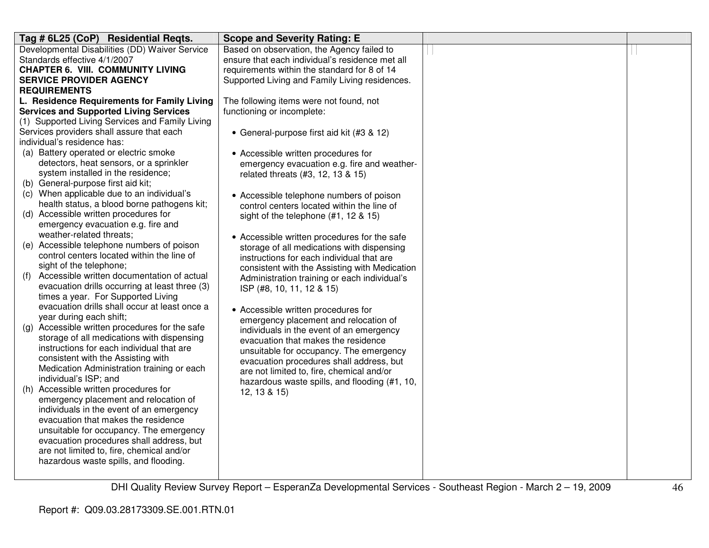| Tag # 6L25 (CoP) Residential Reqts.                                               | <b>Scope and Severity Rating: E</b>             |  |
|-----------------------------------------------------------------------------------|-------------------------------------------------|--|
| Developmental Disabilities (DD) Waiver Service                                    | Based on observation, the Agency failed to      |  |
| Standards effective 4/1/2007                                                      | ensure that each individual's residence met all |  |
| <b>CHAPTER 6. VIII. COMMUNITY LIVING</b>                                          | requirements within the standard for 8 of 14    |  |
| <b>SERVICE PROVIDER AGENCY</b>                                                    | Supported Living and Family Living residences.  |  |
| <b>REQUIREMENTS</b>                                                               |                                                 |  |
| L. Residence Requirements for Family Living                                       | The following items were not found, not         |  |
| <b>Services and Supported Living Services</b>                                     | functioning or incomplete:                      |  |
| (1) Supported Living Services and Family Living                                   |                                                 |  |
| Services providers shall assure that each                                         | • General-purpose first aid kit (#3 & 12)       |  |
| individual's residence has:                                                       |                                                 |  |
| (a) Battery operated or electric smoke                                            | • Accessible written procedures for             |  |
| detectors, heat sensors, or a sprinkler                                           | emergency evacuation e.g. fire and weather-     |  |
| system installed in the residence;                                                | related threats (#3, 12, 13 & 15)               |  |
| (b) General-purpose first aid kit;                                                |                                                 |  |
| (c) When applicable due to an individual's                                        | • Accessible telephone numbers of poison        |  |
| health status, a blood borne pathogens kit;                                       | control centers located within the line of      |  |
| (d) Accessible written procedures for                                             | sight of the telephone $(#1, 12 \& 15)$         |  |
| emergency evacuation e.g. fire and                                                |                                                 |  |
| weather-related threats;                                                          | • Accessible written procedures for the safe    |  |
| (e) Accessible telephone numbers of poison                                        | storage of all medications with dispensing      |  |
| control centers located within the line of                                        | instructions for each individual that are       |  |
| sight of the telephone;                                                           | consistent with the Assisting with Medication   |  |
| Accessible written documentation of actual<br>(f)                                 | Administration training or each individual's    |  |
| evacuation drills occurring at least three (3)                                    | ISP (#8, 10, 11, 12 & 15)                       |  |
| times a year. For Supported Living                                                |                                                 |  |
| evacuation drills shall occur at least once a                                     | • Accessible written procedures for             |  |
| year during each shift;                                                           | emergency placement and relocation of           |  |
| (g) Accessible written procedures for the safe                                    | individuals in the event of an emergency        |  |
| storage of all medications with dispensing                                        | evacuation that makes the residence             |  |
| instructions for each individual that are                                         | unsuitable for occupancy. The emergency         |  |
| consistent with the Assisting with                                                | evacuation procedures shall address, but        |  |
| Medication Administration training or each                                        | are not limited to, fire, chemical and/or       |  |
| individual's ISP; and                                                             | hazardous waste spills, and flooding (#1, 10,   |  |
| (h) Accessible written procedures for                                             | 12, 13 & 15)                                    |  |
| emergency placement and relocation of<br>individuals in the event of an emergency |                                                 |  |
| evacuation that makes the residence                                               |                                                 |  |
| unsuitable for occupancy. The emergency                                           |                                                 |  |
| evacuation procedures shall address, but                                          |                                                 |  |
| are not limited to, fire, chemical and/or                                         |                                                 |  |
| hazardous waste spills, and flooding.                                             |                                                 |  |
|                                                                                   |                                                 |  |
|                                                                                   |                                                 |  |